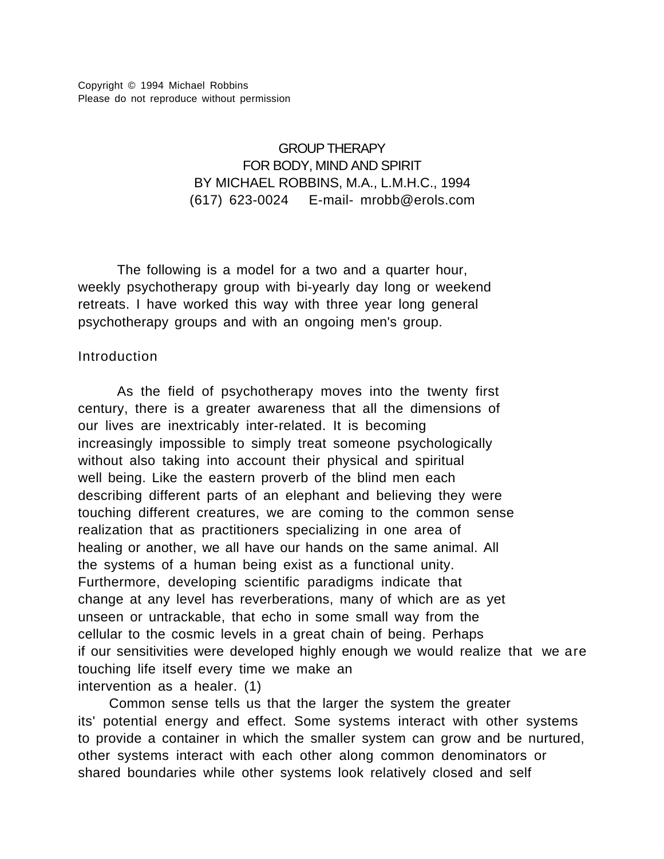# GROUP THERAPY FOR BODY, MIND AND SPIRIT BY MICHAEL ROBBINS, M.A., L.M.H.C., 1994 (617) 623-0024 E-mail- mrobb@erols.com

The following is a model for a two and a quarter hour, weekly psychotherapy group with bi-yearly day long or weekend retreats. I have worked this way with three year long general psychotherapy groups and with an ongoing men's group.

## **Introduction**

As the field of psychotherapy moves into the twenty first century, there is a greater awareness that all the dimensions of our lives are inextricably inter-related. It is becoming increasingly impossible to simply treat someone psychologically without also taking into account their physical and spiritual well being. Like the eastern proverb of the blind men each describing different parts of an elephant and believing they were touching different creatures, we are coming to the common sense realization that as practitioners specializing in one area of healing or another, we all have our hands on the same animal. All the systems of a human being exist as a functional unity. Furthermore, developing scientific paradigms indicate that change at any level has reverberations, many of which are as yet unseen or untrackable, that echo in some small way from the cellular to the cosmic levels in a great chain of being. Perhaps if our sensitivities were developed highly enough we would realize that we are touching life itself every time we make an intervention as a healer. (1)

 Common sense tells us that the larger the system the greater its' potential energy and effect. Some systems interact with other systems to provide a container in which the smaller system can grow and be nurtured, other systems interact with each other along common denominators or shared boundaries while other systems look relatively closed and self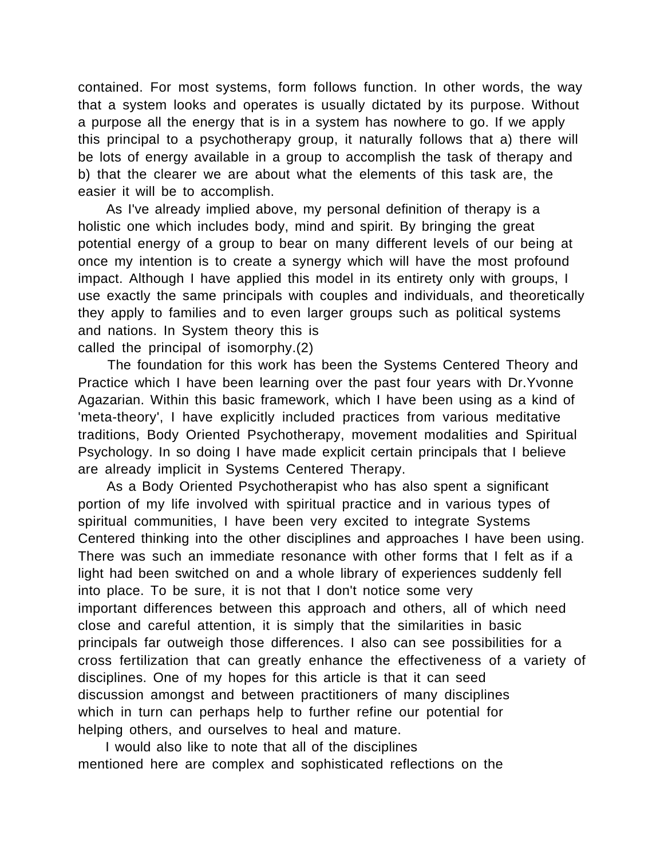contained. For most systems, form follows function. In other words, the way that a system looks and operates is usually dictated by its purpose. Without a purpose all the energy that is in a system has nowhere to go. If we apply this principal to a psychotherapy group, it naturally follows that a) there will be lots of energy available in a group to accomplish the task of therapy and b) that the clearer we are about what the elements of this task are, the easier it will be to accomplish.

 As I've already implied above, my personal definition of therapy is a holistic one which includes body, mind and spirit. By bringing the great potential energy of a group to bear on many different levels of our being at once my intention is to create a synergy which will have the most profound impact. Although I have applied this model in its entirety only with groups, I use exactly the same principals with couples and individuals, and theoretically they apply to families and to even larger groups such as political systems and nations. In System theory this is called the principal of isomorphy.(2)

 The foundation for this work has been the Systems Centered Theory and Practice which I have been learning over the past four years with Dr.Yvonne Agazarian. Within this basic framework, which I have been using as a kind of 'meta-theory', I have explicitly included practices from various meditative traditions, Body Oriented Psychotherapy, movement modalities and Spiritual Psychology. In so doing I have made explicit certain principals that I believe are already implicit in Systems Centered Therapy.

 As a Body Oriented Psychotherapist who has also spent a significant portion of my life involved with spiritual practice and in various types of spiritual communities, I have been very excited to integrate Systems Centered thinking into the other disciplines and approaches I have been using. There was such an immediate resonance with other forms that I felt as if a light had been switched on and a whole library of experiences suddenly fell into place. To be sure, it is not that I don't notice some very important differences between this approach and others, all of which need close and careful attention, it is simply that the similarities in basic principals far outweigh those differences. I also can see possibilities for a cross fertilization that can greatly enhance the effectiveness of a variety of disciplines. One of my hopes for this article is that it can seed discussion amongst and between practitioners of many disciplines which in turn can perhaps help to further refine our potential for helping others, and ourselves to heal and mature.

 I would also like to note that all of the disciplines mentioned here are complex and sophisticated reflections on the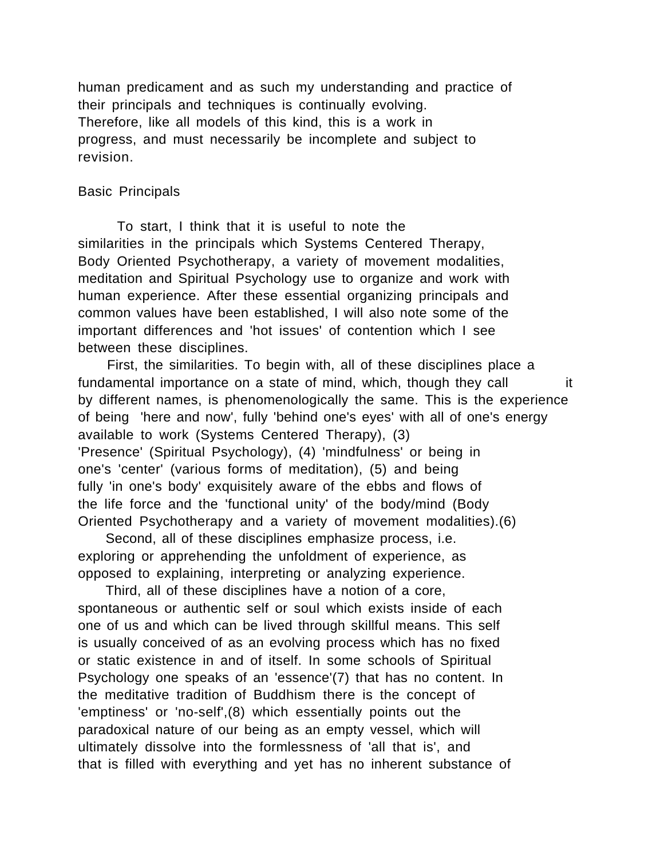human predicament and as such my understanding and practice of their principals and techniques is continually evolving. Therefore, like all models of this kind, this is a work in progress, and must necessarily be incomplete and subject to revision.

#### Basic Principals

To start, I think that it is useful to note the similarities in the principals which Systems Centered Therapy, Body Oriented Psychotherapy, a variety of movement modalities, meditation and Spiritual Psychology use to organize and work with human experience. After these essential organizing principals and common values have been established, I will also note some of the important differences and 'hot issues' of contention which I see between these disciplines.

 First, the similarities. To begin with, all of these disciplines place a fundamental importance on a state of mind, which, though they call it by different names, is phenomenologically the same. This is the experience of being 'here and now', fully 'behind one's eyes' with all of one's energy available to work (Systems Centered Therapy), (3) 'Presence' (Spiritual Psychology), (4) 'mindfulness' or being in one's 'center' (various forms of meditation), (5) and being fully 'in one's body' exquisitely aware of the ebbs and flows of the life force and the 'functional unity' of the body/mind (Body Oriented Psychotherapy and a variety of movement modalities).(6)

 Second, all of these disciplines emphasize process, i.e. exploring or apprehending the unfoldment of experience, as opposed to explaining, interpreting or analyzing experience.

 Third, all of these disciplines have a notion of a core, spontaneous or authentic self or soul which exists inside of each one of us and which can be lived through skillful means. This self is usually conceived of as an evolving process which has no fixed or static existence in and of itself. In some schools of Spiritual Psychology one speaks of an 'essence'(7) that has no content. In the meditative tradition of Buddhism there is the concept of 'emptiness' or 'no-self',(8) which essentially points out the paradoxical nature of our being as an empty vessel, which will ultimately dissolve into the formlessness of 'all that is', and that is filled with everything and yet has no inherent substance of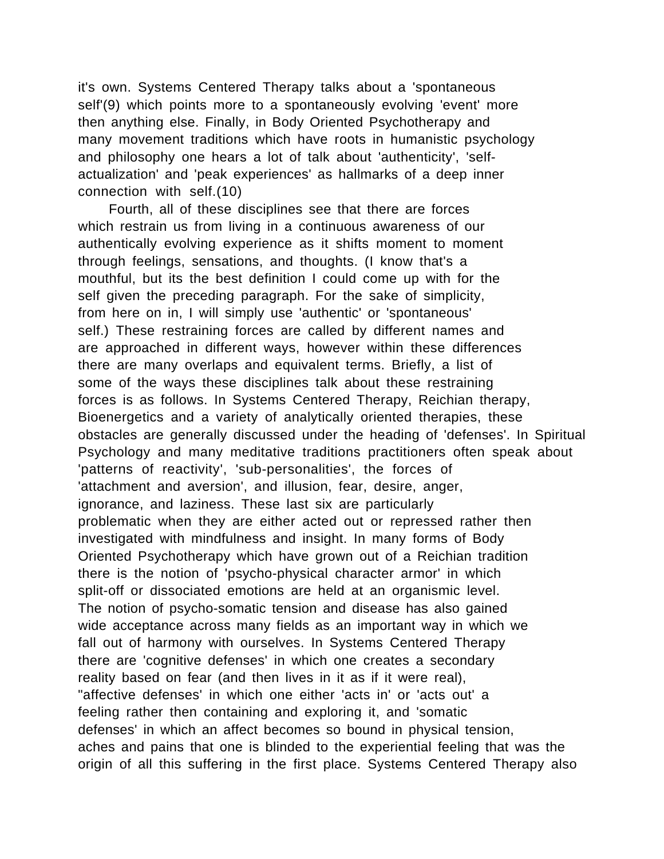it's own. Systems Centered Therapy talks about a 'spontaneous self'(9) which points more to a spontaneously evolving 'event' more then anything else. Finally, in Body Oriented Psychotherapy and many movement traditions which have roots in humanistic psychology and philosophy one hears a lot of talk about 'authenticity', 'selfactualization' and 'peak experiences' as hallmarks of a deep inner connection with self.(10)

 Fourth, all of these disciplines see that there are forces which restrain us from living in a continuous awareness of our authentically evolving experience as it shifts moment to moment through feelings, sensations, and thoughts. (I know that's a mouthful, but its the best definition I could come up with for the self given the preceding paragraph. For the sake of simplicity, from here on in, I will simply use 'authentic' or 'spontaneous' self.) These restraining forces are called by different names and are approached in different ways, however within these differences there are many overlaps and equivalent terms. Briefly, a list of some of the ways these disciplines talk about these restraining forces is as follows. In Systems Centered Therapy, Reichian therapy, Bioenergetics and a variety of analytically oriented therapies, these obstacles are generally discussed under the heading of 'defenses'. In Spiritual Psychology and many meditative traditions practitioners often speak about 'patterns of reactivity', 'sub-personalities', the forces of 'attachment and aversion', and illusion, fear, desire, anger, ignorance, and laziness. These last six are particularly problematic when they are either acted out or repressed rather then investigated with mindfulness and insight. In many forms of Body Oriented Psychotherapy which have grown out of a Reichian tradition there is the notion of 'psycho-physical character armor' in which split-off or dissociated emotions are held at an organismic level. The notion of psycho-somatic tension and disease has also gained wide acceptance across many fields as an important way in which we fall out of harmony with ourselves. In Systems Centered Therapy there are 'cognitive defenses' in which one creates a secondary reality based on fear (and then lives in it as if it were real), "affective defenses' in which one either 'acts in' or 'acts out' a feeling rather then containing and exploring it, and 'somatic defenses' in which an affect becomes so bound in physical tension, aches and pains that one is blinded to the experiential feeling that was the origin of all this suffering in the first place. Systems Centered Therapy also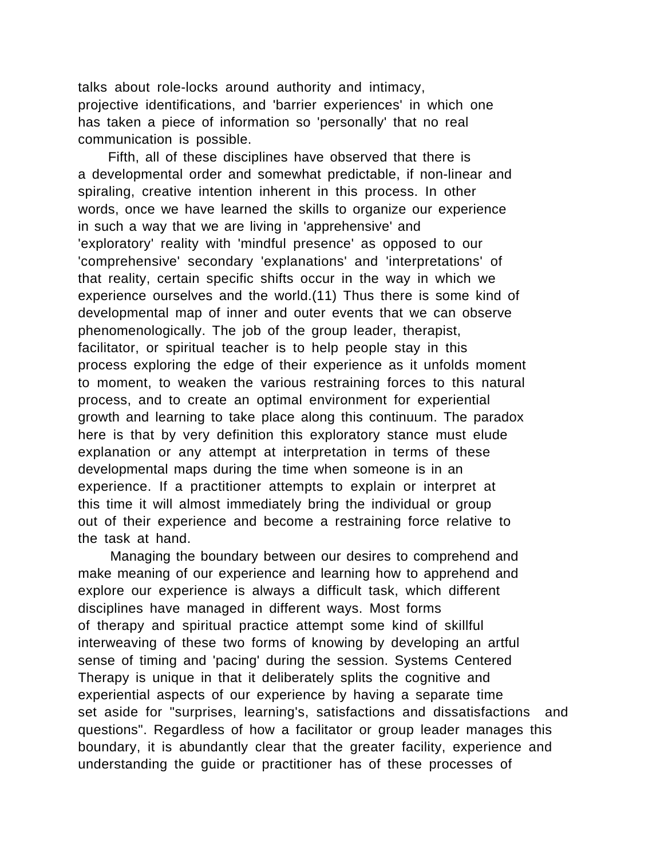talks about role-locks around authority and intimacy, projective identifications, and 'barrier experiences' in which one has taken a piece of information so 'personally' that no real communication is possible.

 Fifth, all of these disciplines have observed that there is a developmental order and somewhat predictable, if non-linear and spiraling, creative intention inherent in this process. In other words, once we have learned the skills to organize our experience in such a way that we are living in 'apprehensive' and 'exploratory' reality with 'mindful presence' as opposed to our 'comprehensive' secondary 'explanations' and 'interpretations' of that reality, certain specific shifts occur in the way in which we experience ourselves and the world.(11) Thus there is some kind of developmental map of inner and outer events that we can observe phenomenologically. The job of the group leader, therapist, facilitator, or spiritual teacher is to help people stay in this process exploring the edge of their experience as it unfolds moment to moment, to weaken the various restraining forces to this natural process, and to create an optimal environment for experiential growth and learning to take place along this continuum. The paradox here is that by very definition this exploratory stance must elude explanation or any attempt at interpretation in terms of these developmental maps during the time when someone is in an experience. If a practitioner attempts to explain or interpret at this time it will almost immediately bring the individual or group out of their experience and become a restraining force relative to the task at hand.

 Managing the boundary between our desires to comprehend and make meaning of our experience and learning how to apprehend and explore our experience is always a difficult task, which different disciplines have managed in different ways. Most forms of therapy and spiritual practice attempt some kind of skillful interweaving of these two forms of knowing by developing an artful sense of timing and 'pacing' during the session. Systems Centered Therapy is unique in that it deliberately splits the cognitive and experiential aspects of our experience by having a separate time set aside for "surprises, learning's, satisfactions and dissatisfactions and questions". Regardless of how a facilitator or group leader manages this boundary, it is abundantly clear that the greater facility, experience and understanding the guide or practitioner has of these processes of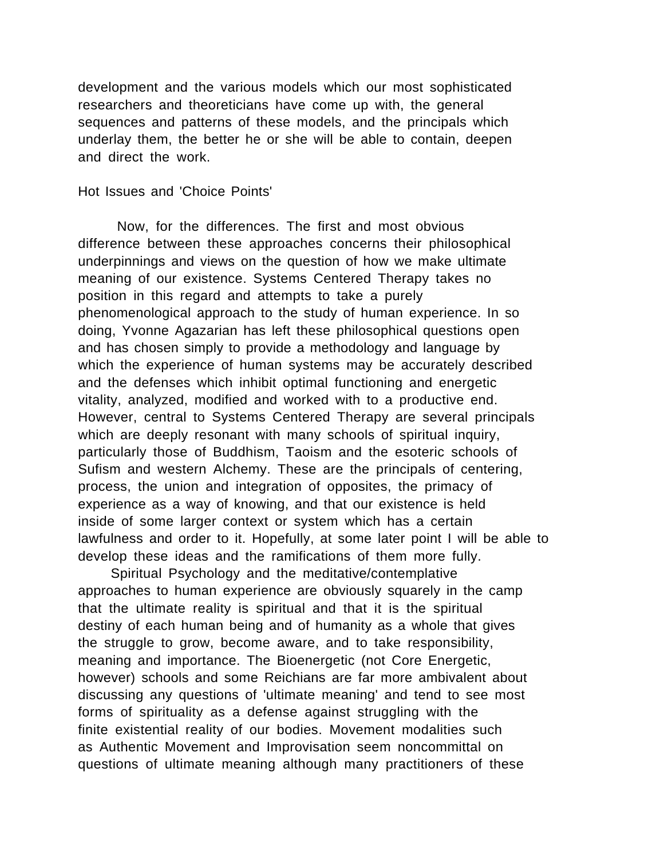development and the various models which our most sophisticated researchers and theoreticians have come up with, the general sequences and patterns of these models, and the principals which underlay them, the better he or she will be able to contain, deepen and direct the work.

#### Hot Issues and 'Choice Points'

Now, for the differences. The first and most obvious difference between these approaches concerns their philosophical underpinnings and views on the question of how we make ultimate meaning of our existence. Systems Centered Therapy takes no position in this regard and attempts to take a purely phenomenological approach to the study of human experience. In so doing, Yvonne Agazarian has left these philosophical questions open and has chosen simply to provide a methodology and language by which the experience of human systems may be accurately described and the defenses which inhibit optimal functioning and energetic vitality, analyzed, modified and worked with to a productive end. However, central to Systems Centered Therapy are several principals which are deeply resonant with many schools of spiritual inquiry, particularly those of Buddhism, Taoism and the esoteric schools of Sufism and western Alchemy. These are the principals of centering, process, the union and integration of opposites, the primacy of experience as a way of knowing, and that our existence is held inside of some larger context or system which has a certain lawfulness and order to it. Hopefully, at some later point I will be able to develop these ideas and the ramifications of them more fully.

 Spiritual Psychology and the meditative/contemplative approaches to human experience are obviously squarely in the camp that the ultimate reality is spiritual and that it is the spiritual destiny of each human being and of humanity as a whole that gives the struggle to grow, become aware, and to take responsibility, meaning and importance. The Bioenergetic (not Core Energetic, however) schools and some Reichians are far more ambivalent about discussing any questions of 'ultimate meaning' and tend to see most forms of spirituality as a defense against struggling with the finite existential reality of our bodies. Movement modalities such as Authentic Movement and Improvisation seem noncommittal on questions of ultimate meaning although many practitioners of these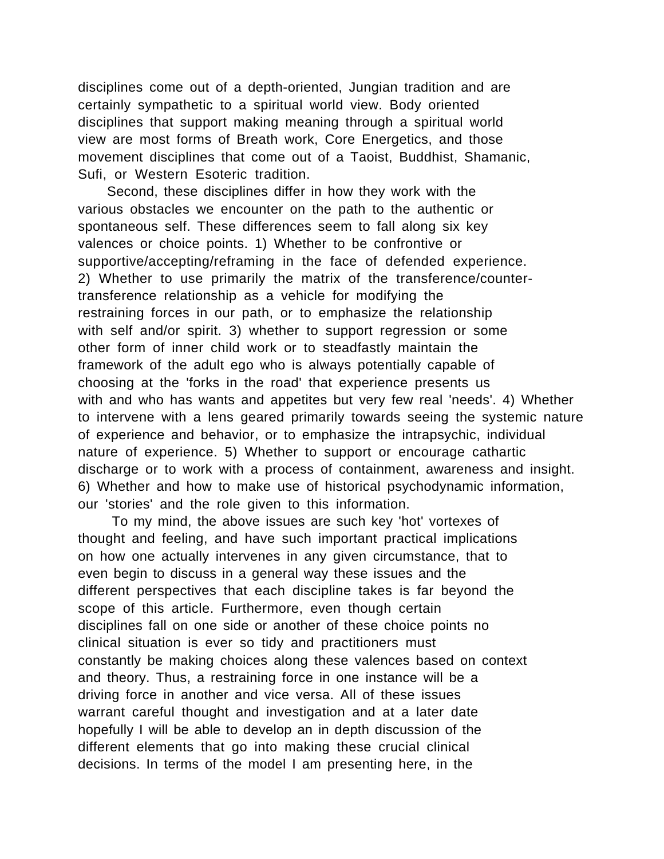disciplines come out of a depth-oriented, Jungian tradition and are certainly sympathetic to a spiritual world view. Body oriented disciplines that support making meaning through a spiritual world view are most forms of Breath work, Core Energetics, and those movement disciplines that come out of a Taoist, Buddhist, Shamanic, Sufi, or Western Esoteric tradition.

 Second, these disciplines differ in how they work with the various obstacles we encounter on the path to the authentic or spontaneous self. These differences seem to fall along six key valences or choice points. 1) Whether to be confrontive or supportive/accepting/reframing in the face of defended experience. 2) Whether to use primarily the matrix of the transference/countertransference relationship as a vehicle for modifying the restraining forces in our path, or to emphasize the relationship with self and/or spirit. 3) whether to support regression or some other form of inner child work or to steadfastly maintain the framework of the adult ego who is always potentially capable of choosing at the 'forks in the road' that experience presents us with and who has wants and appetites but very few real 'needs'. 4) Whether to intervene with a lens geared primarily towards seeing the systemic nature of experience and behavior, or to emphasize the intrapsychic, individual nature of experience. 5) Whether to support or encourage cathartic discharge or to work with a process of containment, awareness and insight. 6) Whether and how to make use of historical psychodynamic information, our 'stories' and the role given to this information.

 To my mind, the above issues are such key 'hot' vortexes of thought and feeling, and have such important practical implications on how one actually intervenes in any given circumstance, that to even begin to discuss in a general way these issues and the different perspectives that each discipline takes is far beyond the scope of this article. Furthermore, even though certain disciplines fall on one side or another of these choice points no clinical situation is ever so tidy and practitioners must constantly be making choices along these valences based on context and theory. Thus, a restraining force in one instance will be a driving force in another and vice versa. All of these issues warrant careful thought and investigation and at a later date hopefully I will be able to develop an in depth discussion of the different elements that go into making these crucial clinical decisions. In terms of the model I am presenting here, in the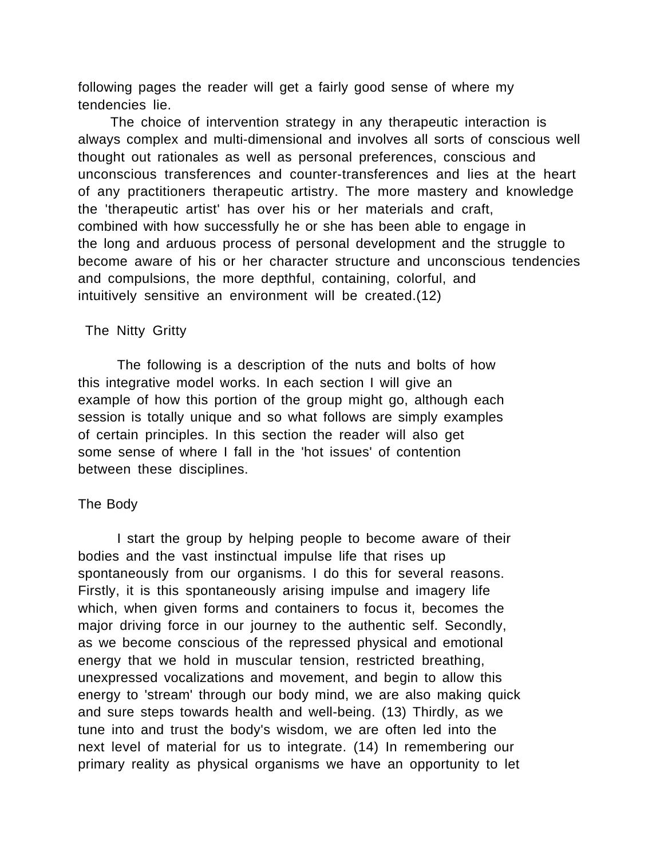following pages the reader will get a fairly good sense of where my tendencies lie.

 The choice of intervention strategy in any therapeutic interaction is always complex and multi-dimensional and involves all sorts of conscious well thought out rationales as well as personal preferences, conscious and unconscious transferences and counter-transferences and lies at the heart of any practitioners therapeutic artistry. The more mastery and knowledge the 'therapeutic artist' has over his or her materials and craft, combined with how successfully he or she has been able to engage in the long and arduous process of personal development and the struggle to become aware of his or her character structure and unconscious tendencies and compulsions, the more depthful, containing, colorful, and intuitively sensitive an environment will be created.(12)

#### The Nitty Gritty

The following is a description of the nuts and bolts of how this integrative model works. In each section I will give an example of how this portion of the group might go, although each session is totally unique and so what follows are simply examples of certain principles. In this section the reader will also get some sense of where I fall in the 'hot issues' of contention between these disciplines.

## The Body

I start the group by helping people to become aware of their bodies and the vast instinctual impulse life that rises up spontaneously from our organisms. I do this for several reasons. Firstly, it is this spontaneously arising impulse and imagery life which, when given forms and containers to focus it, becomes the major driving force in our journey to the authentic self. Secondly, as we become conscious of the repressed physical and emotional energy that we hold in muscular tension, restricted breathing, unexpressed vocalizations and movement, and begin to allow this energy to 'stream' through our body mind, we are also making quick and sure steps towards health and well-being. (13) Thirdly, as we tune into and trust the body's wisdom, we are often led into the next level of material for us to integrate. (14) In remembering our primary reality as physical organisms we have an opportunity to let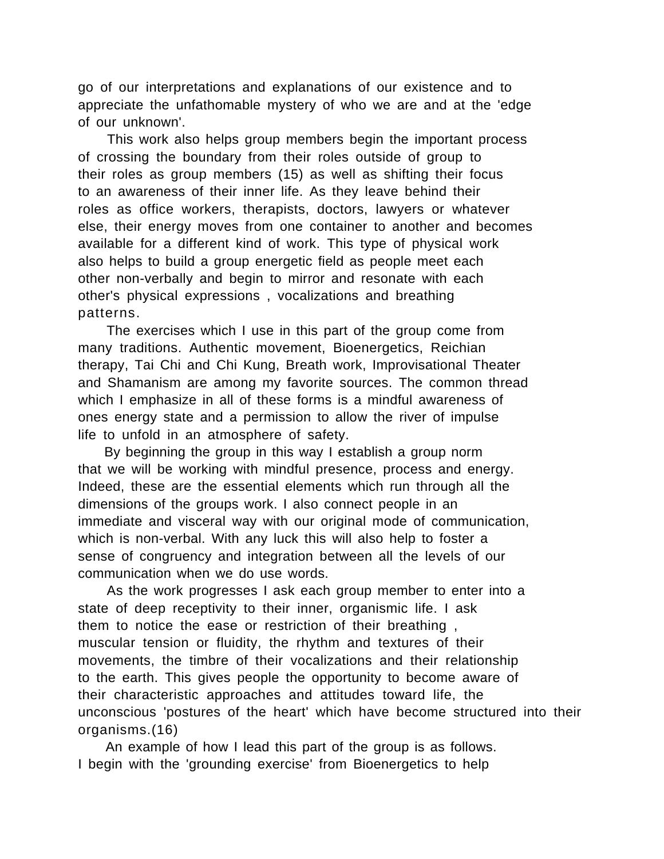go of our interpretations and explanations of our existence and to appreciate the unfathomable mystery of who we are and at the 'edge of our unknown'.

 This work also helps group members begin the important process of crossing the boundary from their roles outside of group to their roles as group members (15) as well as shifting their focus to an awareness of their inner life. As they leave behind their roles as office workers, therapists, doctors, lawyers or whatever else, their energy moves from one container to another and becomes available for a different kind of work. This type of physical work also helps to build a group energetic field as people meet each other non-verbally and begin to mirror and resonate with each other's physical expressions , vocalizations and breathing patterns.

 The exercises which I use in this part of the group come from many traditions. Authentic movement, Bioenergetics, Reichian therapy, Tai Chi and Chi Kung, Breath work, Improvisational Theater and Shamanism are among my favorite sources. The common thread which I emphasize in all of these forms is a mindful awareness of ones energy state and a permission to allow the river of impulse life to unfold in an atmosphere of safety.

 By beginning the group in this way I establish a group norm that we will be working with mindful presence, process and energy. Indeed, these are the essential elements which run through all the dimensions of the groups work. I also connect people in an immediate and visceral way with our original mode of communication, which is non-verbal. With any luck this will also help to foster a sense of congruency and integration between all the levels of our communication when we do use words.

 As the work progresses I ask each group member to enter into a state of deep receptivity to their inner, organismic life. I ask them to notice the ease or restriction of their breathing , muscular tension or fluidity, the rhythm and textures of their movements, the timbre of their vocalizations and their relationship to the earth. This gives people the opportunity to become aware of their characteristic approaches and attitudes toward life, the unconscious 'postures of the heart' which have become structured into their organisms.(16)

 An example of how I lead this part of the group is as follows. I begin with the 'grounding exercise' from Bioenergetics to help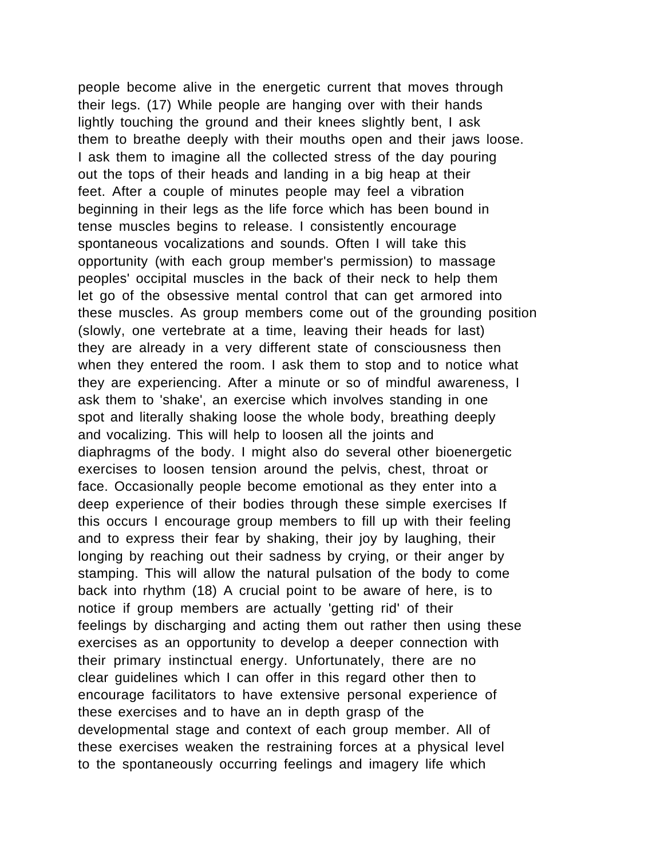people become alive in the energetic current that moves through their legs. (17) While people are hanging over with their hands lightly touching the ground and their knees slightly bent, I ask them to breathe deeply with their mouths open and their jaws loose. I ask them to imagine all the collected stress of the day pouring out the tops of their heads and landing in a big heap at their feet. After a couple of minutes people may feel a vibration beginning in their legs as the life force which has been bound in tense muscles begins to release. I consistently encourage spontaneous vocalizations and sounds. Often I will take this opportunity (with each group member's permission) to massage peoples' occipital muscles in the back of their neck to help them let go of the obsessive mental control that can get armored into these muscles. As group members come out of the grounding position (slowly, one vertebrate at a time, leaving their heads for last) they are already in a very different state of consciousness then when they entered the room. I ask them to stop and to notice what they are experiencing. After a minute or so of mindful awareness, I ask them to 'shake', an exercise which involves standing in one spot and literally shaking loose the whole body, breathing deeply and vocalizing. This will help to loosen all the joints and diaphragms of the body. I might also do several other bioenergetic exercises to loosen tension around the pelvis, chest, throat or face. Occasionally people become emotional as they enter into a deep experience of their bodies through these simple exercises If this occurs I encourage group members to fill up with their feeling and to express their fear by shaking, their joy by laughing, their longing by reaching out their sadness by crying, or their anger by stamping. This will allow the natural pulsation of the body to come back into rhythm (18) A crucial point to be aware of here, is to notice if group members are actually 'getting rid' of their feelings by discharging and acting them out rather then using these exercises as an opportunity to develop a deeper connection with their primary instinctual energy. Unfortunately, there are no clear guidelines which I can offer in this regard other then to encourage facilitators to have extensive personal experience of these exercises and to have an in depth grasp of the developmental stage and context of each group member. All of these exercises weaken the restraining forces at a physical level to the spontaneously occurring feelings and imagery life which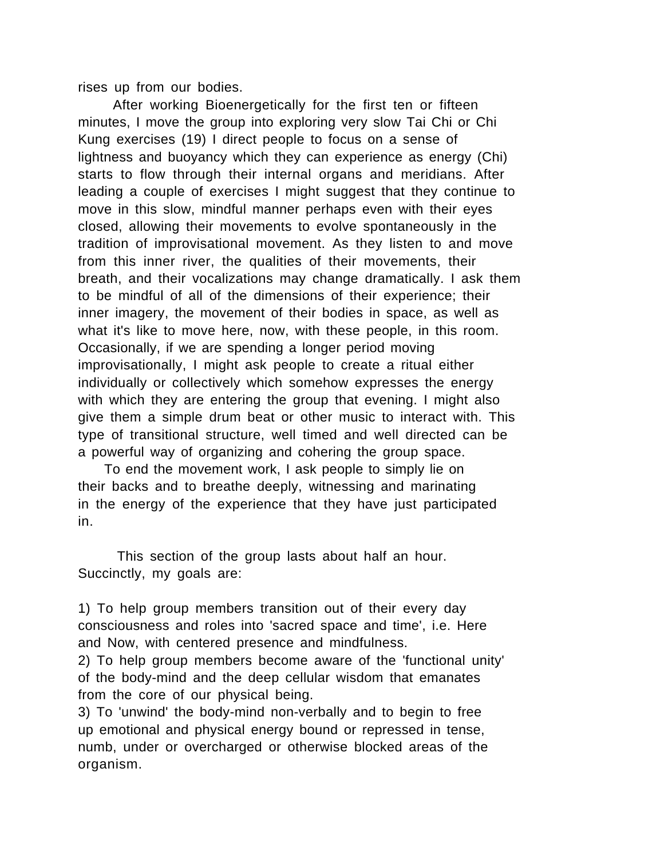rises up from our bodies.

 After working Bioenergetically for the first ten or fifteen minutes, I move the group into exploring very slow Tai Chi or Chi Kung exercises (19) I direct people to focus on a sense of lightness and buoyancy which they can experience as energy (Chi) starts to flow through their internal organs and meridians. After leading a couple of exercises I might suggest that they continue to move in this slow, mindful manner perhaps even with their eyes closed, allowing their movements to evolve spontaneously in the tradition of improvisational movement. As they listen to and move from this inner river, the qualities of their movements, their breath, and their vocalizations may change dramatically. I ask them to be mindful of all of the dimensions of their experience; their inner imagery, the movement of their bodies in space, as well as what it's like to move here, now, with these people, in this room. Occasionally, if we are spending a longer period moving improvisationally, I might ask people to create a ritual either individually or collectively which somehow expresses the energy with which they are entering the group that evening. I might also give them a simple drum beat or other music to interact with. This type of transitional structure, well timed and well directed can be a powerful way of organizing and cohering the group space.

 To end the movement work, I ask people to simply lie on their backs and to breathe deeply, witnessing and marinating in the energy of the experience that they have just participated in.

This section of the group lasts about half an hour. Succinctly, my goals are:

1) To help group members transition out of their every day consciousness and roles into 'sacred space and time', i.e. Here and Now, with centered presence and mindfulness.

2) To help group members become aware of the 'functional unity' of the body-mind and the deep cellular wisdom that emanates from the core of our physical being.

3) To 'unwind' the body-mind non-verbally and to begin to free up emotional and physical energy bound or repressed in tense, numb, under or overcharged or otherwise blocked areas of the organism.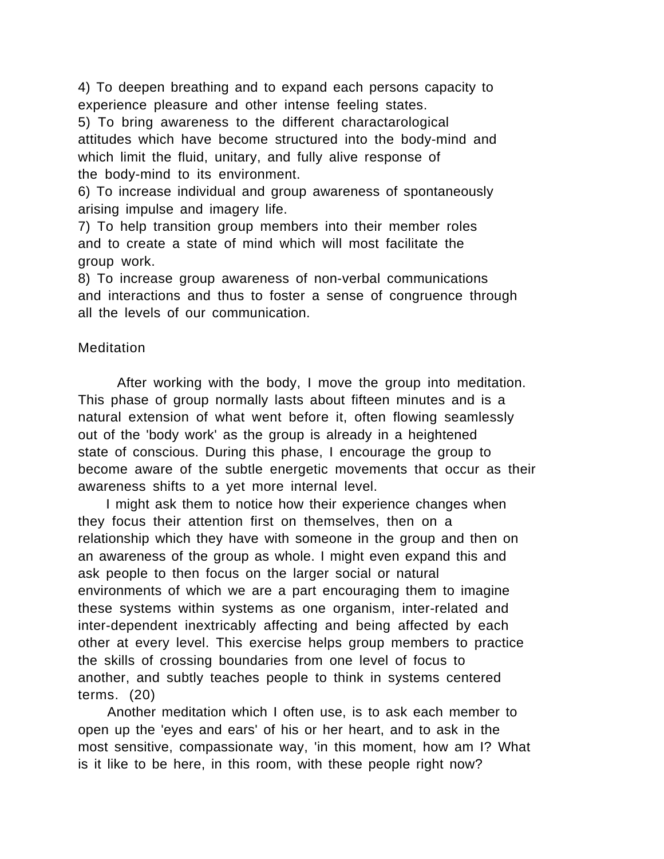4) To deepen breathing and to expand each persons capacity to experience pleasure and other intense feeling states.

5) To bring awareness to the different charactarological attitudes which have become structured into the body-mind and which limit the fluid, unitary, and fully alive response of the body-mind to its environment.

6) To increase individual and group awareness of spontaneously arising impulse and imagery life.

7) To help transition group members into their member roles and to create a state of mind which will most facilitate the group work.

8) To increase group awareness of non-verbal communications and interactions and thus to foster a sense of congruence through all the levels of our communication.

## **Meditation**

After working with the body, I move the group into meditation. This phase of group normally lasts about fifteen minutes and is a natural extension of what went before it, often flowing seamlessly out of the 'body work' as the group is already in a heightened state of conscious. During this phase, I encourage the group to become aware of the subtle energetic movements that occur as their awareness shifts to a yet more internal level.

 I might ask them to notice how their experience changes when they focus their attention first on themselves, then on a relationship which they have with someone in the group and then on an awareness of the group as whole. I might even expand this and ask people to then focus on the larger social or natural environments of which we are a part encouraging them to imagine these systems within systems as one organism, inter-related and inter-dependent inextricably affecting and being affected by each other at every level. This exercise helps group members to practice the skills of crossing boundaries from one level of focus to another, and subtly teaches people to think in systems centered terms. (20)

 Another meditation which I often use, is to ask each member to open up the 'eyes and ears' of his or her heart, and to ask in the most sensitive, compassionate way, 'in this moment, how am I? What is it like to be here, in this room, with these people right now?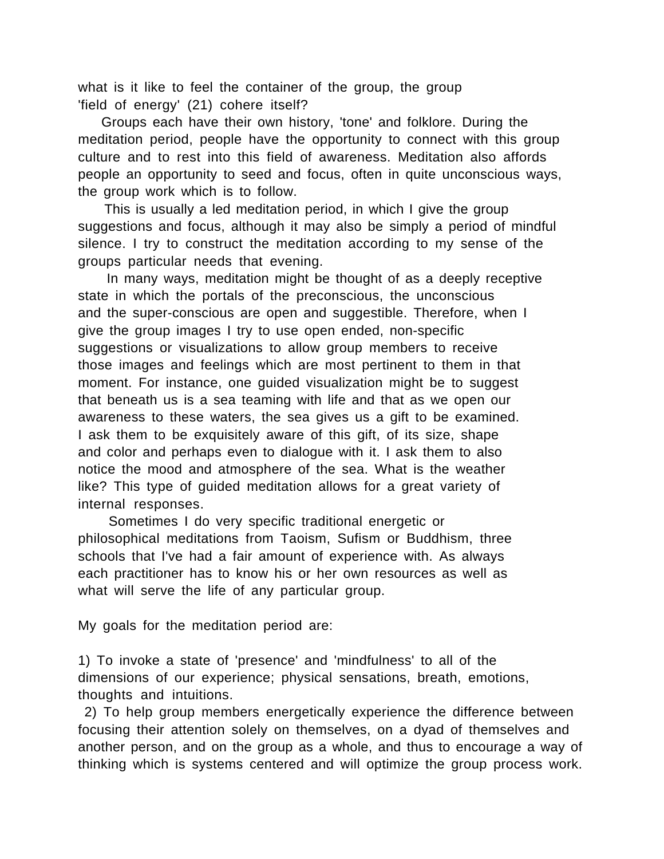what is it like to feel the container of the group, the group 'field of energy' (21) cohere itself?

 Groups each have their own history, 'tone' and folklore. During the meditation period, people have the opportunity to connect with this group culture and to rest into this field of awareness. Meditation also affords people an opportunity to seed and focus, often in quite unconscious ways, the group work which is to follow.

 This is usually a led meditation period, in which I give the group suggestions and focus, although it may also be simply a period of mindful silence. I try to construct the meditation according to my sense of the groups particular needs that evening.

 In many ways, meditation might be thought of as a deeply receptive state in which the portals of the preconscious, the unconscious and the super-conscious are open and suggestible. Therefore, when I give the group images I try to use open ended, non-specific suggestions or visualizations to allow group members to receive those images and feelings which are most pertinent to them in that moment. For instance, one guided visualization might be to suggest that beneath us is a sea teaming with life and that as we open our awareness to these waters, the sea gives us a gift to be examined. I ask them to be exquisitely aware of this gift, of its size, shape and color and perhaps even to dialogue with it. I ask them to also notice the mood and atmosphere of the sea. What is the weather like? This type of guided meditation allows for a great variety of internal responses.

 Sometimes I do very specific traditional energetic or philosophical meditations from Taoism, Sufism or Buddhism, three schools that I've had a fair amount of experience with. As always each practitioner has to know his or her own resources as well as what will serve the life of any particular group.

My goals for the meditation period are:

1) To invoke a state of 'presence' and 'mindfulness' to all of the dimensions of our experience; physical sensations, breath, emotions, thoughts and intuitions.

 2) To help group members energetically experience the difference between focusing their attention solely on themselves, on a dyad of themselves and another person, and on the group as a whole, and thus to encourage a way of thinking which is systems centered and will optimize the group process work.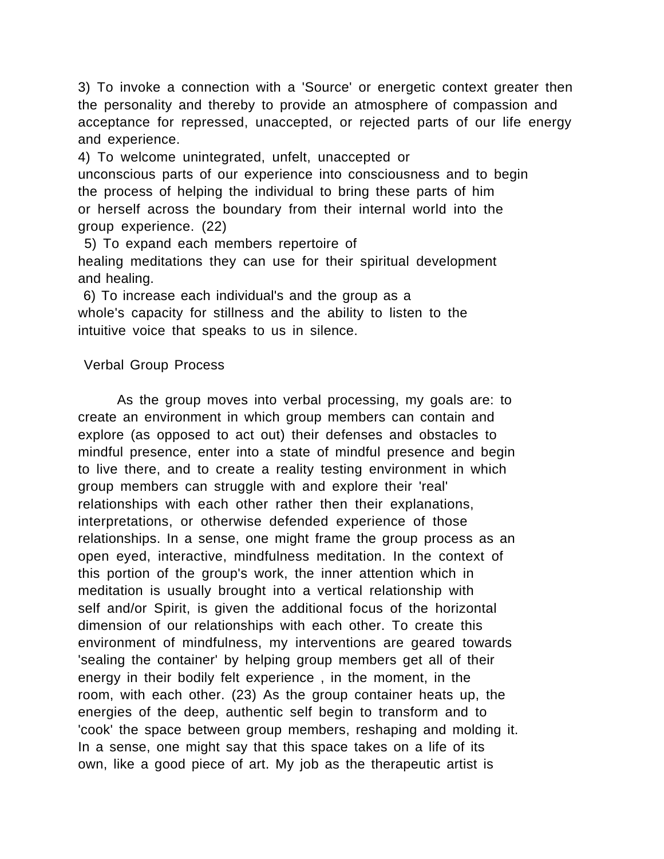3) To invoke a connection with a 'Source' or energetic context greater then the personality and thereby to provide an atmosphere of compassion and acceptance for repressed, unaccepted, or rejected parts of our life energy and experience.

4) To welcome unintegrated, unfelt, unaccepted or unconscious parts of our experience into consciousness and to begin the process of helping the individual to bring these parts of him or herself across the boundary from their internal world into the group experience. (22)

 5) To expand each members repertoire of healing meditations they can use for their spiritual development and healing.

 6) To increase each individual's and the group as a whole's capacity for stillness and the ability to listen to the intuitive voice that speaks to us in silence.

## Verbal Group Process

As the group moves into verbal processing, my goals are: to create an environment in which group members can contain and explore (as opposed to act out) their defenses and obstacles to mindful presence, enter into a state of mindful presence and begin to live there, and to create a reality testing environment in which group members can struggle with and explore their 'real' relationships with each other rather then their explanations, interpretations, or otherwise defended experience of those relationships. In a sense, one might frame the group process as an open eyed, interactive, mindfulness meditation. In the context of this portion of the group's work, the inner attention which in meditation is usually brought into a vertical relationship with self and/or Spirit, is given the additional focus of the horizontal dimension of our relationships with each other. To create this environment of mindfulness, my interventions are geared towards 'sealing the container' by helping group members get all of their energy in their bodily felt experience , in the moment, in the room, with each other. (23) As the group container heats up, the energies of the deep, authentic self begin to transform and to 'cook' the space between group members, reshaping and molding it. In a sense, one might say that this space takes on a life of its own, like a good piece of art. My job as the therapeutic artist is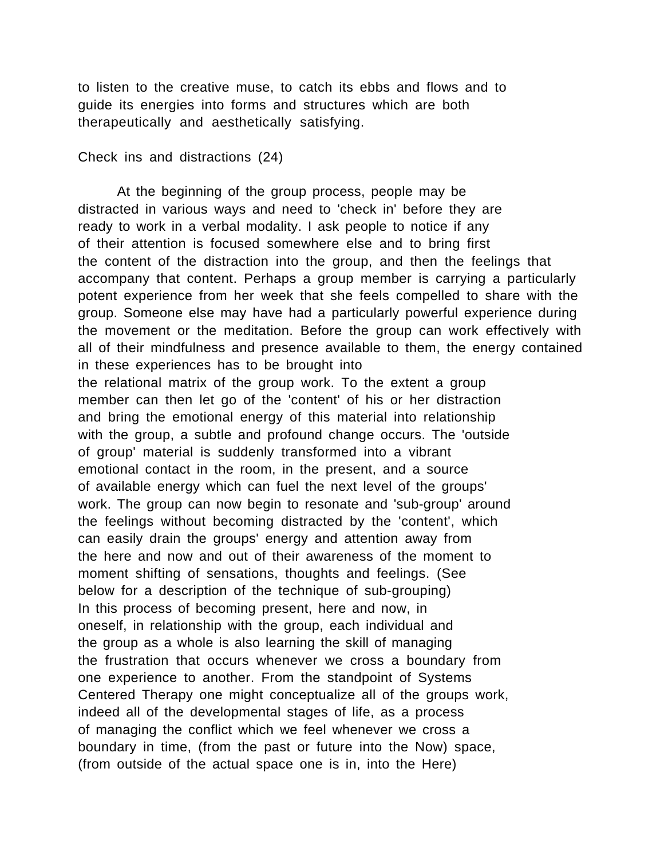to listen to the creative muse, to catch its ebbs and flows and to guide its energies into forms and structures which are both therapeutically and aesthetically satisfying.

Check ins and distractions (24)

At the beginning of the group process, people may be distracted in various ways and need to 'check in' before they are ready to work in a verbal modality. I ask people to notice if any of their attention is focused somewhere else and to bring first the content of the distraction into the group, and then the feelings that accompany that content. Perhaps a group member is carrying a particularly potent experience from her week that she feels compelled to share with the group. Someone else may have had a particularly powerful experience during the movement or the meditation. Before the group can work effectively with all of their mindfulness and presence available to them, the energy contained in these experiences has to be brought into the relational matrix of the group work. To the extent a group member can then let go of the 'content' of his or her distraction and bring the emotional energy of this material into relationship with the group, a subtle and profound change occurs. The 'outside of group' material is suddenly transformed into a vibrant emotional contact in the room, in the present, and a source of available energy which can fuel the next level of the groups' work. The group can now begin to resonate and 'sub-group' around the feelings without becoming distracted by the 'content', which can easily drain the groups' energy and attention away from the here and now and out of their awareness of the moment to moment shifting of sensations, thoughts and feelings. (See below for a description of the technique of sub-grouping) In this process of becoming present, here and now, in oneself, in relationship with the group, each individual and the group as a whole is also learning the skill of managing the frustration that occurs whenever we cross a boundary from one experience to another. From the standpoint of Systems Centered Therapy one might conceptualize all of the groups work, indeed all of the developmental stages of life, as a process of managing the conflict which we feel whenever we cross a boundary in time, (from the past or future into the Now) space, (from outside of the actual space one is in, into the Here)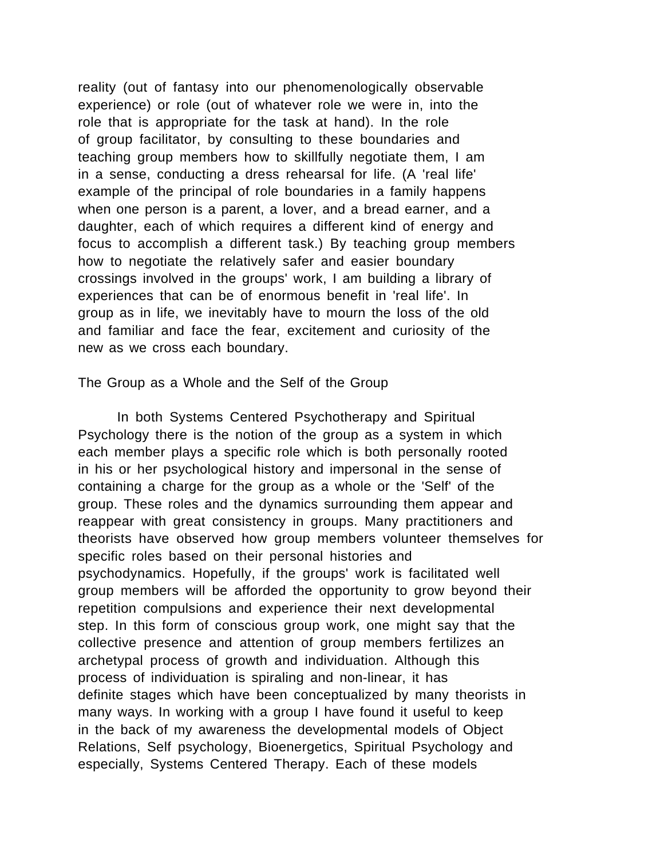reality (out of fantasy into our phenomenologically observable experience) or role (out of whatever role we were in, into the role that is appropriate for the task at hand). In the role of group facilitator, by consulting to these boundaries and teaching group members how to skillfully negotiate them, I am in a sense, conducting a dress rehearsal for life. (A 'real life' example of the principal of role boundaries in a family happens when one person is a parent, a lover, and a bread earner, and a daughter, each of which requires a different kind of energy and focus to accomplish a different task.) By teaching group members how to negotiate the relatively safer and easier boundary crossings involved in the groups' work, I am building a library of experiences that can be of enormous benefit in 'real life'. In group as in life, we inevitably have to mourn the loss of the old and familiar and face the fear, excitement and curiosity of the new as we cross each boundary.

The Group as a Whole and the Self of the Group

In both Systems Centered Psychotherapy and Spiritual Psychology there is the notion of the group as a system in which each member plays a specific role which is both personally rooted in his or her psychological history and impersonal in the sense of containing a charge for the group as a whole or the 'Self' of the group. These roles and the dynamics surrounding them appear and reappear with great consistency in groups. Many practitioners and theorists have observed how group members volunteer themselves for specific roles based on their personal histories and psychodynamics. Hopefully, if the groups' work is facilitated well group members will be afforded the opportunity to grow beyond their repetition compulsions and experience their next developmental step. In this form of conscious group work, one might say that the collective presence and attention of group members fertilizes an archetypal process of growth and individuation. Although this process of individuation is spiraling and non-linear, it has definite stages which have been conceptualized by many theorists in many ways. In working with a group I have found it useful to keep in the back of my awareness the developmental models of Object Relations, Self psychology, Bioenergetics, Spiritual Psychology and especially, Systems Centered Therapy. Each of these models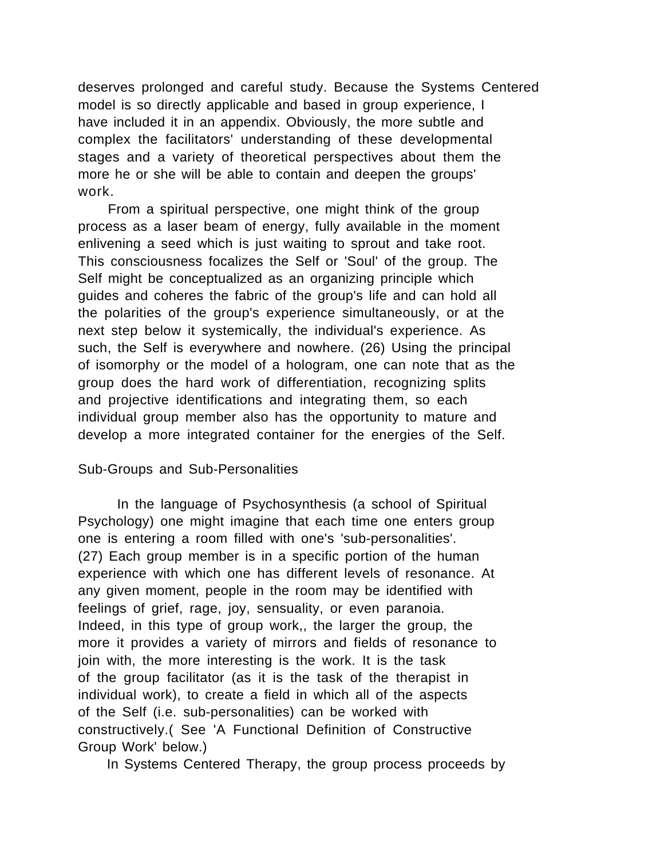deserves prolonged and careful study. Because the Systems Centered model is so directly applicable and based in group experience, I have included it in an appendix. Obviously, the more subtle and complex the facilitators' understanding of these developmental stages and a variety of theoretical perspectives about them the more he or she will be able to contain and deepen the groups' work.

 From a spiritual perspective, one might think of the group process as a laser beam of energy, fully available in the moment enlivening a seed which is just waiting to sprout and take root. This consciousness focalizes the Self or 'Soul' of the group. The Self might be conceptualized as an organizing principle which guides and coheres the fabric of the group's life and can hold all the polarities of the group's experience simultaneously, or at the next step below it systemically, the individual's experience. As such, the Self is everywhere and nowhere. (26) Using the principal of isomorphy or the model of a hologram, one can note that as the group does the hard work of differentiation, recognizing splits and projective identifications and integrating them, so each individual group member also has the opportunity to mature and develop a more integrated container for the energies of the Self.

## Sub-Groups and Sub-Personalities

In the language of Psychosynthesis (a school of Spiritual Psychology) one might imagine that each time one enters group one is entering a room filled with one's 'sub-personalities'. (27) Each group member is in a specific portion of the human experience with which one has different levels of resonance. At any given moment, people in the room may be identified with feelings of grief, rage, joy, sensuality, or even paranoia. Indeed, in this type of group work,, the larger the group, the more it provides a variety of mirrors and fields of resonance to join with, the more interesting is the work. It is the task of the group facilitator (as it is the task of the therapist in individual work), to create a field in which all of the aspects of the Self (i.e. sub-personalities) can be worked with constructively.( See 'A Functional Definition of Constructive Group Work' below.)

In Systems Centered Therapy, the group process proceeds by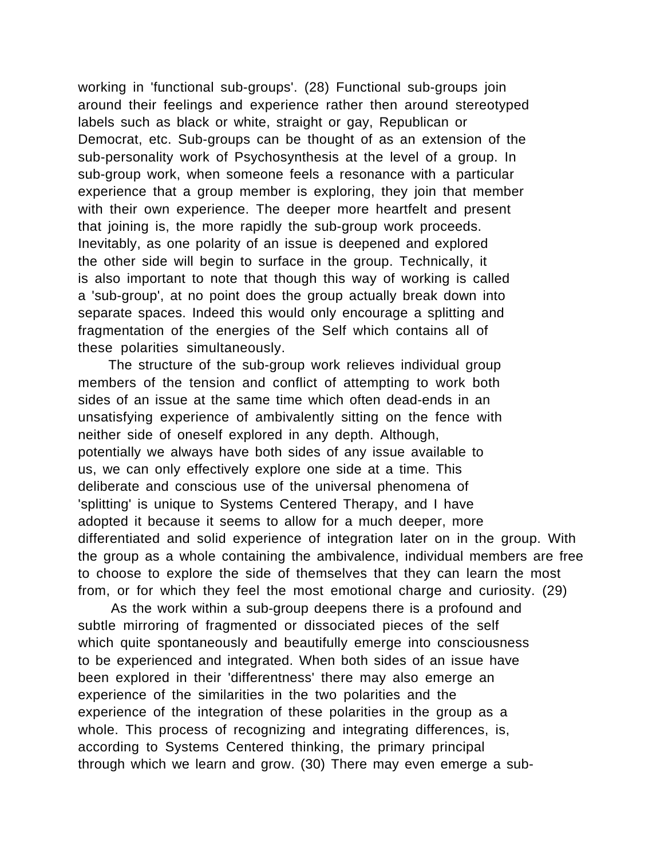working in 'functional sub-groups'. (28) Functional sub-groups join around their feelings and experience rather then around stereotyped labels such as black or white, straight or gay, Republican or Democrat, etc. Sub-groups can be thought of as an extension of the sub-personality work of Psychosynthesis at the level of a group. In sub-group work, when someone feels a resonance with a particular experience that a group member is exploring, they join that member with their own experience. The deeper more heartfelt and present that joining is, the more rapidly the sub-group work proceeds. Inevitably, as one polarity of an issue is deepened and explored the other side will begin to surface in the group. Technically, it is also important to note that though this way of working is called a 'sub-group', at no point does the group actually break down into separate spaces. Indeed this would only encourage a splitting and fragmentation of the energies of the Self which contains all of these polarities simultaneously.

 The structure of the sub-group work relieves individual group members of the tension and conflict of attempting to work both sides of an issue at the same time which often dead-ends in an unsatisfying experience of ambivalently sitting on the fence with neither side of oneself explored in any depth. Although, potentially we always have both sides of any issue available to us, we can only effectively explore one side at a time. This deliberate and conscious use of the universal phenomena of 'splitting' is unique to Systems Centered Therapy, and I have adopted it because it seems to allow for a much deeper, more differentiated and solid experience of integration later on in the group. With the group as a whole containing the ambivalence, individual members are free to choose to explore the side of themselves that they can learn the most from, or for which they feel the most emotional charge and curiosity. (29)

 As the work within a sub-group deepens there is a profound and subtle mirroring of fragmented or dissociated pieces of the self which quite spontaneously and beautifully emerge into consciousness to be experienced and integrated. When both sides of an issue have been explored in their 'differentness' there may also emerge an experience of the similarities in the two polarities and the experience of the integration of these polarities in the group as a whole. This process of recognizing and integrating differences, is, according to Systems Centered thinking, the primary principal through which we learn and grow. (30) There may even emerge a sub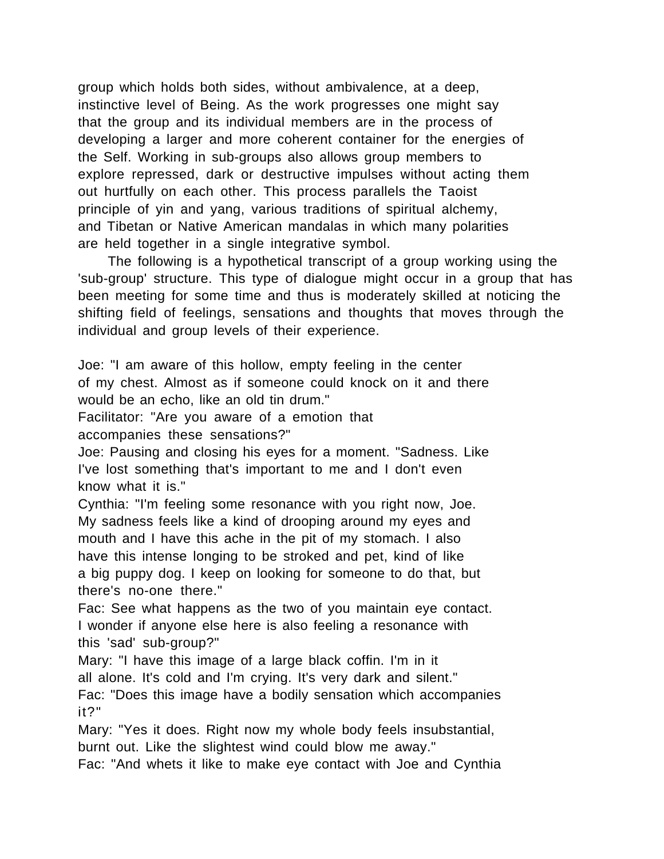group which holds both sides, without ambivalence, at a deep, instinctive level of Being. As the work progresses one might say that the group and its individual members are in the process of developing a larger and more coherent container for the energies of the Self. Working in sub-groups also allows group members to explore repressed, dark or destructive impulses without acting them out hurtfully on each other. This process parallels the Taoist principle of yin and yang, various traditions of spiritual alchemy, and Tibetan or Native American mandalas in which many polarities are held together in a single integrative symbol.

 The following is a hypothetical transcript of a group working using the 'sub-group' structure. This type of dialogue might occur in a group that has been meeting for some time and thus is moderately skilled at noticing the shifting field of feelings, sensations and thoughts that moves through the individual and group levels of their experience.

Joe: "I am aware of this hollow, empty feeling in the center of my chest. Almost as if someone could knock on it and there would be an echo, like an old tin drum."

Facilitator: "Are you aware of a emotion that accompanies these sensations?"

Joe: Pausing and closing his eyes for a moment. "Sadness. Like I've lost something that's important to me and I don't even know what it is."

Cynthia: "I'm feeling some resonance with you right now, Joe. My sadness feels like a kind of drooping around my eyes and mouth and I have this ache in the pit of my stomach. I also have this intense longing to be stroked and pet, kind of like a big puppy dog. I keep on looking for someone to do that, but there's no-one there."

Fac: See what happens as the two of you maintain eye contact. I wonder if anyone else here is also feeling a resonance with this 'sad' sub-group?"

Mary: "I have this image of a large black coffin. I'm in it all alone. It's cold and I'm crying. It's very dark and silent." Fac: "Does this image have a bodily sensation which accompanies it?"

Mary: "Yes it does. Right now my whole body feels insubstantial, burnt out. Like the slightest wind could blow me away."

Fac: "And whets it like to make eye contact with Joe and Cynthia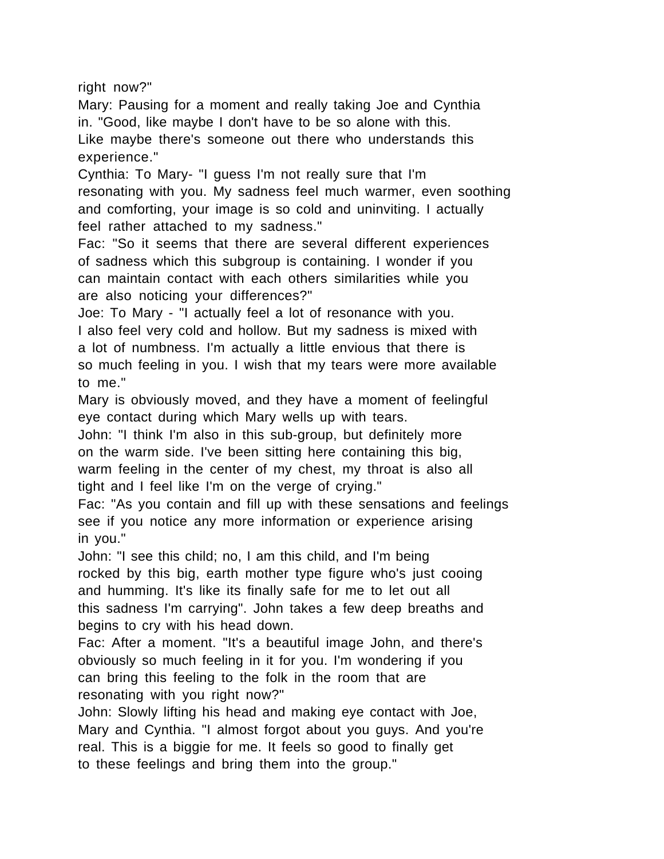right now?"

Mary: Pausing for a moment and really taking Joe and Cynthia in. "Good, like maybe I don't have to be so alone with this. Like maybe there's someone out there who understands this experience."

Cynthia: To Mary- "I guess I'm not really sure that I'm resonating with you. My sadness feel much warmer, even soothing and comforting, your image is so cold and uninviting. I actually feel rather attached to my sadness."

Fac: "So it seems that there are several different experiences of sadness which this subgroup is containing. I wonder if you can maintain contact with each others similarities while you are also noticing your differences?"

Joe: To Mary - "I actually feel a lot of resonance with you. I also feel very cold and hollow. But my sadness is mixed with a lot of numbness. I'm actually a little envious that there is so much feeling in you. I wish that my tears were more available to me."

Mary is obviously moved, and they have a moment of feelingful eye contact during which Mary wells up with tears.

John: "I think I'm also in this sub-group, but definitely more on the warm side. I've been sitting here containing this big, warm feeling in the center of my chest, my throat is also all tight and I feel like I'm on the verge of crying."

Fac: "As you contain and fill up with these sensations and feelings see if you notice any more information or experience arising in you."

John: "I see this child; no, I am this child, and I'm being rocked by this big, earth mother type figure who's just cooing and humming. It's like its finally safe for me to let out all this sadness I'm carrying". John takes a few deep breaths and begins to cry with his head down.

Fac: After a moment. "It's a beautiful image John, and there's obviously so much feeling in it for you. I'm wondering if you can bring this feeling to the folk in the room that are resonating with you right now?"

John: Slowly lifting his head and making eye contact with Joe, Mary and Cynthia. "I almost forgot about you guys. And you're real. This is a biggie for me. It feels so good to finally get to these feelings and bring them into the group."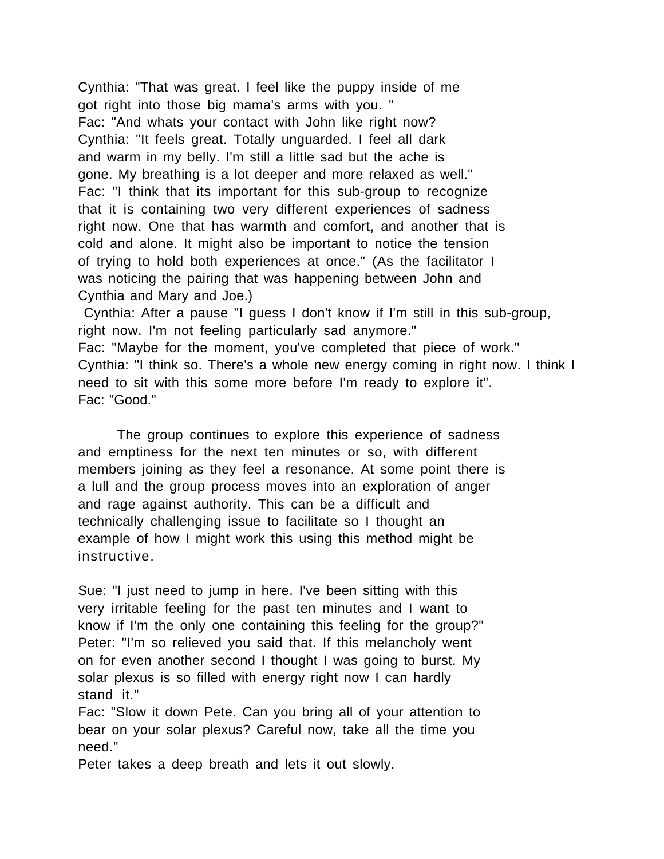Cynthia: "That was great. I feel like the puppy inside of me got right into those big mama's arms with you. " Fac: "And whats your contact with John like right now? Cynthia: "It feels great. Totally unguarded. I feel all dark and warm in my belly. I'm still a little sad but the ache is gone. My breathing is a lot deeper and more relaxed as well." Fac: "I think that its important for this sub-group to recognize that it is containing two very different experiences of sadness right now. One that has warmth and comfort, and another that is cold and alone. It might also be important to notice the tension of trying to hold both experiences at once." (As the facilitator I was noticing the pairing that was happening between John and Cynthia and Mary and Joe.)

 Cynthia: After a pause "I guess I don't know if I'm still in this sub-group, right now. I'm not feeling particularly sad anymore." Fac: "Maybe for the moment, you've completed that piece of work." Cynthia: "I think so. There's a whole new energy coming in right now. I think I need to sit with this some more before I'm ready to explore it". Fac: "Good."

The group continues to explore this experience of sadness and emptiness for the next ten minutes or so, with different members joining as they feel a resonance. At some point there is a lull and the group process moves into an exploration of anger and rage against authority. This can be a difficult and technically challenging issue to facilitate so I thought an example of how I might work this using this method might be instructive.

Sue: "I just need to jump in here. I've been sitting with this very irritable feeling for the past ten minutes and I want to know if I'm the only one containing this feeling for the group?" Peter: "I'm so relieved you said that. If this melancholy went on for even another second I thought I was going to burst. My solar plexus is so filled with energy right now I can hardly stand it."

Fac: "Slow it down Pete. Can you bring all of your attention to bear on your solar plexus? Careful now, take all the time you need."

Peter takes a deep breath and lets it out slowly.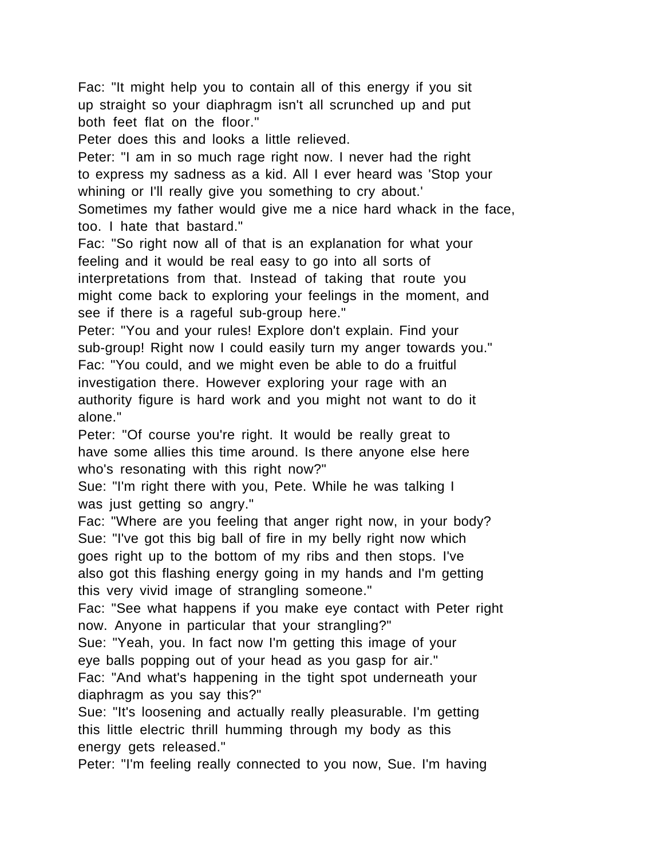Fac: "It might help you to contain all of this energy if you sit up straight so your diaphragm isn't all scrunched up and put both feet flat on the floor."

Peter does this and looks a little relieved.

Peter: "I am in so much rage right now. I never had the right to express my sadness as a kid. All I ever heard was 'Stop your whining or I'll really give you something to cry about.'

Sometimes my father would give me a nice hard whack in the face, too. I hate that bastard."

Fac: "So right now all of that is an explanation for what your feeling and it would be real easy to go into all sorts of interpretations from that. Instead of taking that route you might come back to exploring your feelings in the moment, and see if there is a rageful sub-group here."

Peter: "You and your rules! Explore don't explain. Find your sub-group! Right now I could easily turn my anger towards you." Fac: "You could, and we might even be able to do a fruitful investigation there. However exploring your rage with an authority figure is hard work and you might not want to do it alone."

Peter: "Of course you're right. It would be really great to have some allies this time around. Is there anyone else here who's resonating with this right now?"

Sue: "I'm right there with you, Pete. While he was talking I was just getting so angry."

Fac: "Where are you feeling that anger right now, in your body? Sue: "I've got this big ball of fire in my belly right now which goes right up to the bottom of my ribs and then stops. I've also got this flashing energy going in my hands and I'm getting this very vivid image of strangling someone."

Fac: "See what happens if you make eye contact with Peter right now. Anyone in particular that your strangling?"

Sue: "Yeah, you. In fact now I'm getting this image of your eye balls popping out of your head as you gasp for air."

Fac: "And what's happening in the tight spot underneath your diaphragm as you say this?"

Sue: "It's loosening and actually really pleasurable. I'm getting this little electric thrill humming through my body as this energy gets released."

Peter: "I'm feeling really connected to you now, Sue. I'm having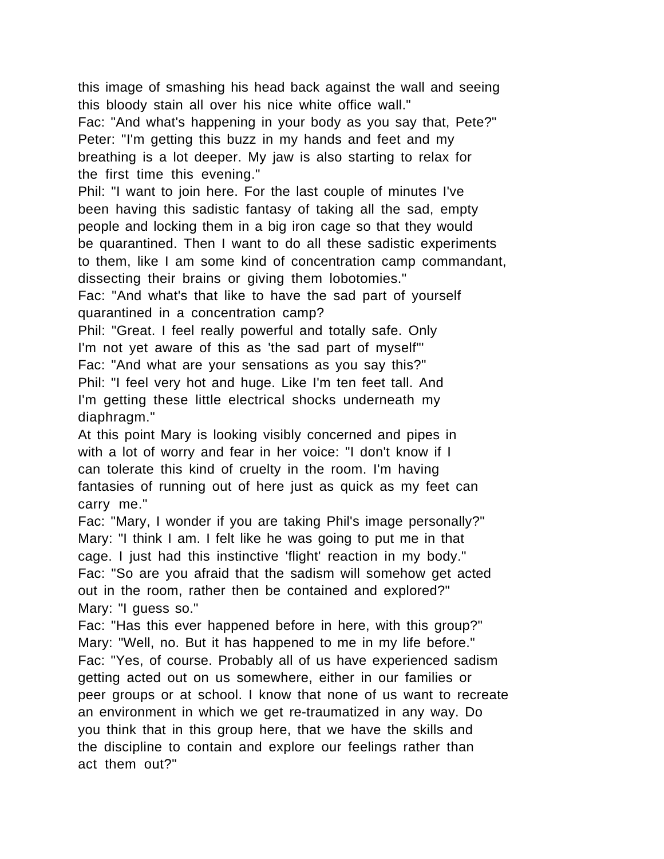this image of smashing his head back against the wall and seeing this bloody stain all over his nice white office wall."

Fac: "And what's happening in your body as you say that, Pete?" Peter: "I'm getting this buzz in my hands and feet and my breathing is a lot deeper. My jaw is also starting to relax for the first time this evening."

Phil: "I want to join here. For the last couple of minutes I've been having this sadistic fantasy of taking all the sad, empty people and locking them in a big iron cage so that they would be quarantined. Then I want to do all these sadistic experiments to them, like I am some kind of concentration camp commandant, dissecting their brains or giving them lobotomies."

Fac: "And what's that like to have the sad part of yourself quarantined in a concentration camp?

Phil: "Great. I feel really powerful and totally safe. Only I'm not yet aware of this as 'the sad part of myself"' Fac: "And what are your sensations as you say this?" Phil: "I feel very hot and huge. Like I'm ten feet tall. And I'm getting these little electrical shocks underneath my diaphragm."

At this point Mary is looking visibly concerned and pipes in with a lot of worry and fear in her voice: "I don't know if I can tolerate this kind of cruelty in the room. I'm having fantasies of running out of here just as quick as my feet can carry me."

Fac: "Mary, I wonder if you are taking Phil's image personally?" Mary: "I think I am. I felt like he was going to put me in that cage. I just had this instinctive 'flight' reaction in my body." Fac: "So are you afraid that the sadism will somehow get acted out in the room, rather then be contained and explored?" Mary: "I guess so."

Fac: "Has this ever happened before in here, with this group?" Mary: "Well, no. But it has happened to me in my life before." Fac: "Yes, of course. Probably all of us have experienced sadism getting acted out on us somewhere, either in our families or peer groups or at school. I know that none of us want to recreate an environment in which we get re-traumatized in any way. Do you think that in this group here, that we have the skills and the discipline to contain and explore our feelings rather than act them out?"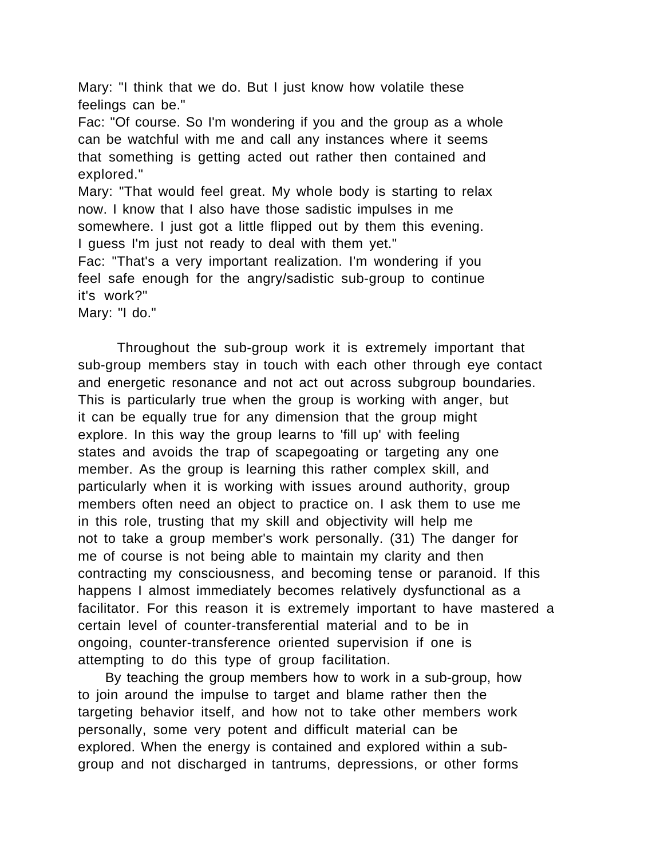Mary: "I think that we do. But I just know how volatile these feelings can be."

Fac: "Of course. So I'm wondering if you and the group as a whole can be watchful with me and call any instances where it seems that something is getting acted out rather then contained and explored."

Mary: "That would feel great. My whole body is starting to relax now. I know that I also have those sadistic impulses in me somewhere. I just got a little flipped out by them this evening. I guess I'm just not ready to deal with them yet."

Fac: "That's a very important realization. I'm wondering if you feel safe enough for the angry/sadistic sub-group to continue it's work?"

Mary: "I do."

Throughout the sub-group work it is extremely important that sub-group members stay in touch with each other through eye contact and energetic resonance and not act out across subgroup boundaries. This is particularly true when the group is working with anger, but it can be equally true for any dimension that the group might explore. In this way the group learns to 'fill up' with feeling states and avoids the trap of scapegoating or targeting any one member. As the group is learning this rather complex skill, and particularly when it is working with issues around authority, group members often need an object to practice on. I ask them to use me in this role, trusting that my skill and objectivity will help me not to take a group member's work personally. (31) The danger for me of course is not being able to maintain my clarity and then contracting my consciousness, and becoming tense or paranoid. If this happens I almost immediately becomes relatively dysfunctional as a facilitator. For this reason it is extremely important to have mastered a certain level of counter-transferential material and to be in ongoing, counter-transference oriented supervision if one is attempting to do this type of group facilitation.

 By teaching the group members how to work in a sub-group, how to join around the impulse to target and blame rather then the targeting behavior itself, and how not to take other members work personally, some very potent and difficult material can be explored. When the energy is contained and explored within a subgroup and not discharged in tantrums, depressions, or other forms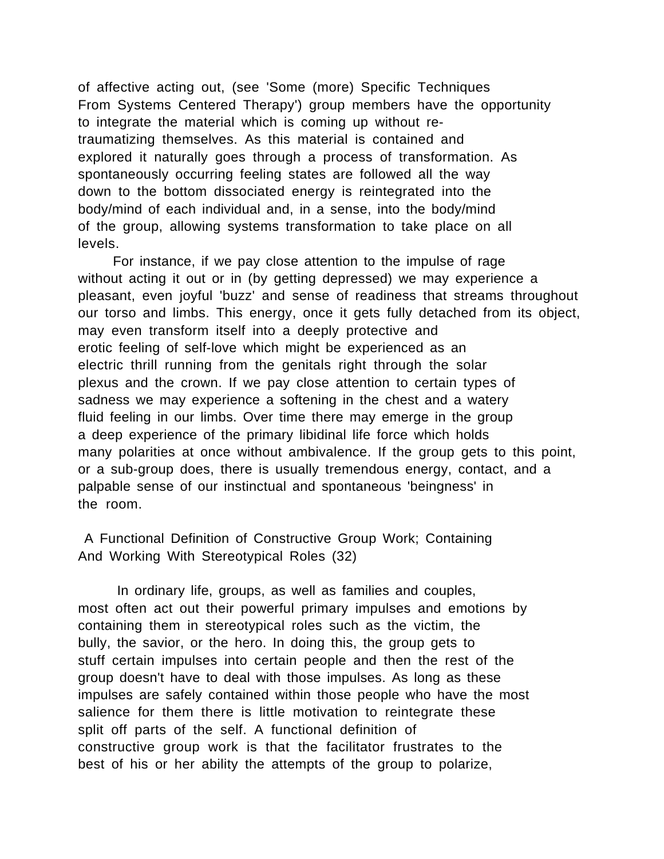of affective acting out, (see 'Some (more) Specific Techniques From Systems Centered Therapy') group members have the opportunity to integrate the material which is coming up without retraumatizing themselves. As this material is contained and explored it naturally goes through a process of transformation. As spontaneously occurring feeling states are followed all the way down to the bottom dissociated energy is reintegrated into the body/mind of each individual and, in a sense, into the body/mind of the group, allowing systems transformation to take place on all levels.

 For instance, if we pay close attention to the impulse of rage without acting it out or in (by getting depressed) we may experience a pleasant, even joyful 'buzz' and sense of readiness that streams throughout our torso and limbs. This energy, once it gets fully detached from its object, may even transform itself into a deeply protective and erotic feeling of self-love which might be experienced as an electric thrill running from the genitals right through the solar plexus and the crown. If we pay close attention to certain types of sadness we may experience a softening in the chest and a watery fluid feeling in our limbs. Over time there may emerge in the group a deep experience of the primary libidinal life force which holds many polarities at once without ambivalence. If the group gets to this point, or a sub-group does, there is usually tremendous energy, contact, and a palpable sense of our instinctual and spontaneous 'beingness' in the room.

 A Functional Definition of Constructive Group Work; Containing And Working With Stereotypical Roles (32)

In ordinary life, groups, as well as families and couples, most often act out their powerful primary impulses and emotions by containing them in stereotypical roles such as the victim, the bully, the savior, or the hero. In doing this, the group gets to stuff certain impulses into certain people and then the rest of the group doesn't have to deal with those impulses. As long as these impulses are safely contained within those people who have the most salience for them there is little motivation to reintegrate these split off parts of the self. A functional definition of constructive group work is that the facilitator frustrates to the best of his or her ability the attempts of the group to polarize,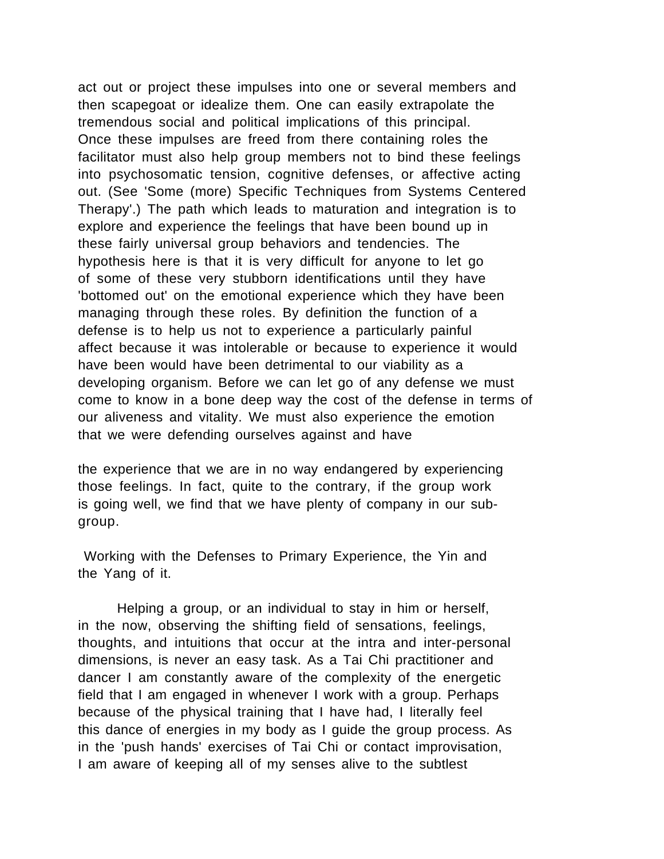act out or project these impulses into one or several members and then scapegoat or idealize them. One can easily extrapolate the tremendous social and political implications of this principal. Once these impulses are freed from there containing roles the facilitator must also help group members not to bind these feelings into psychosomatic tension, cognitive defenses, or affective acting out. (See 'Some (more) Specific Techniques from Systems Centered Therapy'.) The path which leads to maturation and integration is to explore and experience the feelings that have been bound up in these fairly universal group behaviors and tendencies. The hypothesis here is that it is very difficult for anyone to let go of some of these very stubborn identifications until they have 'bottomed out' on the emotional experience which they have been managing through these roles. By definition the function of a defense is to help us not to experience a particularly painful affect because it was intolerable or because to experience it would have been would have been detrimental to our viability as a developing organism. Before we can let go of any defense we must come to know in a bone deep way the cost of the defense in terms of our aliveness and vitality. We must also experience the emotion that we were defending ourselves against and have

the experience that we are in no way endangered by experiencing those feelings. In fact, quite to the contrary, if the group work is going well, we find that we have plenty of company in our subgroup.

 Working with the Defenses to Primary Experience, the Yin and the Yang of it.

Helping a group, or an individual to stay in him or herself, in the now, observing the shifting field of sensations, feelings, thoughts, and intuitions that occur at the intra and inter-personal dimensions, is never an easy task. As a Tai Chi practitioner and dancer I am constantly aware of the complexity of the energetic field that I am engaged in whenever I work with a group. Perhaps because of the physical training that I have had, I literally feel this dance of energies in my body as I guide the group process. As in the 'push hands' exercises of Tai Chi or contact improvisation, I am aware of keeping all of my senses alive to the subtlest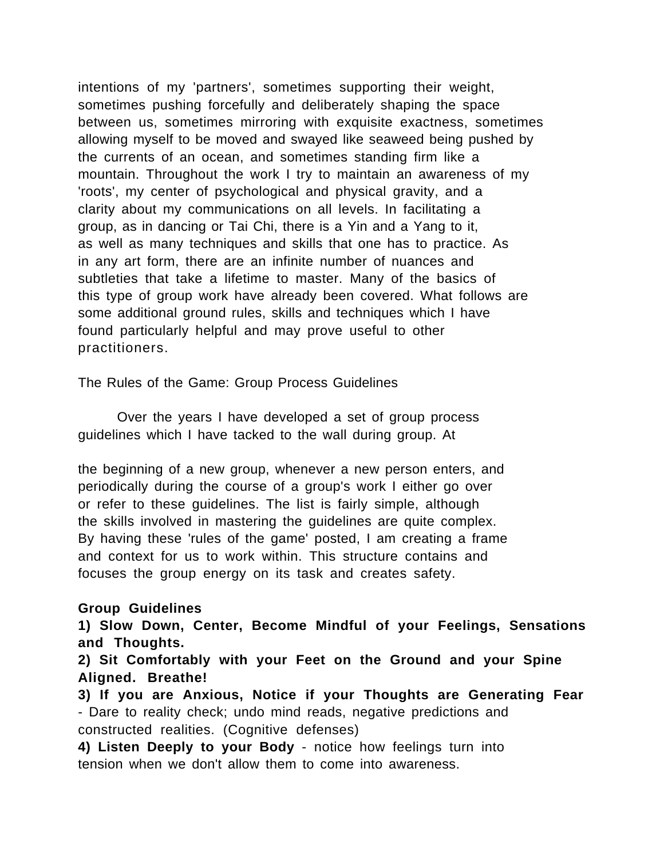intentions of my 'partners', sometimes supporting their weight, sometimes pushing forcefully and deliberately shaping the space between us, sometimes mirroring with exquisite exactness, sometimes allowing myself to be moved and swayed like seaweed being pushed by the currents of an ocean, and sometimes standing firm like a mountain. Throughout the work I try to maintain an awareness of my 'roots', my center of psychological and physical gravity, and a clarity about my communications on all levels. In facilitating a group, as in dancing or Tai Chi, there is a Yin and a Yang to it, as well as many techniques and skills that one has to practice. As in any art form, there are an infinite number of nuances and subtleties that take a lifetime to master. Many of the basics of this type of group work have already been covered. What follows are some additional ground rules, skills and techniques which I have found particularly helpful and may prove useful to other practitioners.

The Rules of the Game: Group Process Guidelines

Over the years I have developed a set of group process guidelines which I have tacked to the wall during group. At

the beginning of a new group, whenever a new person enters, and periodically during the course of a group's work I either go over or refer to these guidelines. The list is fairly simple, although the skills involved in mastering the guidelines are quite complex. By having these 'rules of the game' posted, I am creating a frame and context for us to work within. This structure contains and focuses the group energy on its task and creates safety.

### **Group Guidelines**

**1) Slow Down, Center, Become Mindful of your Feelings, Sensations and Thoughts.**

**2) Sit Comfortably with your Feet on the Ground and your Spine Aligned. Breathe!**

**3) If you are Anxious, Notice if your Thoughts are Generating Fear** - Dare to reality check; undo mind reads, negative predictions and constructed realities. (Cognitive defenses)

**4) Listen Deeply to your Body** - notice how feelings turn into tension when we don't allow them to come into awareness.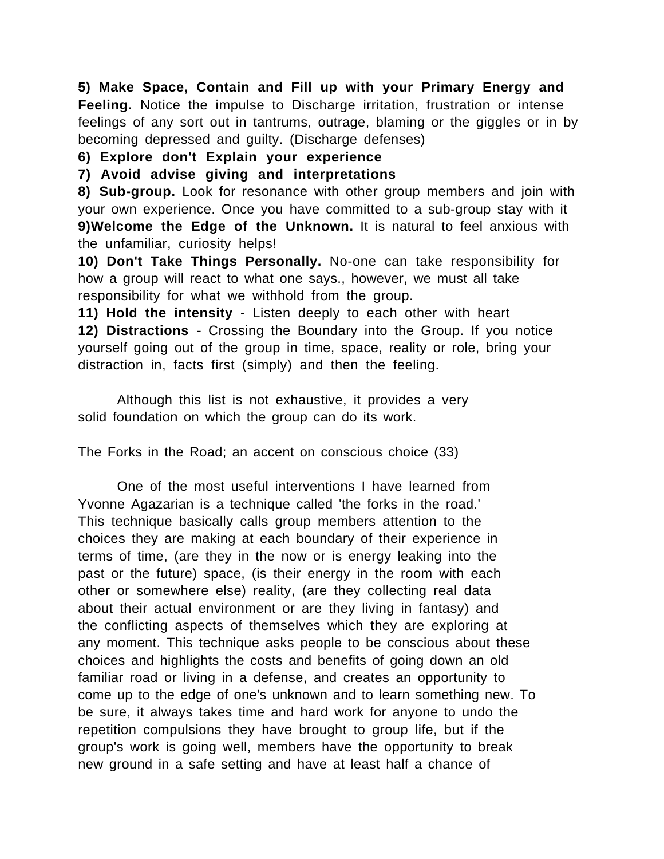**5) Make Space, Contain and Fill up with your Primary Energy and Feeling.** Notice the impulse to Discharge irritation, frustration or intense feelings of any sort out in tantrums, outrage, blaming or the giggles or in by becoming depressed and guilty. (Discharge defenses)

## **6) Explore don't Explain your experience**

**7) Avoid advise giving and interpretations**

**8) Sub-group.** Look for resonance with other group members and join with your own experience. Once you have committed to a sub-group stay with it **9)Welcome the Edge of the Unknown.** It is natural to feel anxious with the unfamiliar, curiosity helps!

**10) Don't Take Things Personally.** No-one can take responsibility for how a group will react to what one says., however, we must all take responsibility for what we withhold from the group.

**11) Hold the intensity** - Listen deeply to each other with heart **12) Distractions** - Crossing the Boundary into the Group. If you notice yourself going out of the group in time, space, reality or role, bring your distraction in, facts first (simply) and then the feeling.

Although this list is not exhaustive, it provides a very solid foundation on which the group can do its work.

The Forks in the Road; an accent on conscious choice (33)

One of the most useful interventions I have learned from Yvonne Agazarian is a technique called 'the forks in the road.' This technique basically calls group members attention to the choices they are making at each boundary of their experience in terms of time, (are they in the now or is energy leaking into the past or the future) space, (is their energy in the room with each other or somewhere else) reality, (are they collecting real data about their actual environment or are they living in fantasy) and the conflicting aspects of themselves which they are exploring at any moment. This technique asks people to be conscious about these choices and highlights the costs and benefits of going down an old familiar road or living in a defense, and creates an opportunity to come up to the edge of one's unknown and to learn something new. To be sure, it always takes time and hard work for anyone to undo the repetition compulsions they have brought to group life, but if the group's work is going well, members have the opportunity to break new ground in a safe setting and have at least half a chance of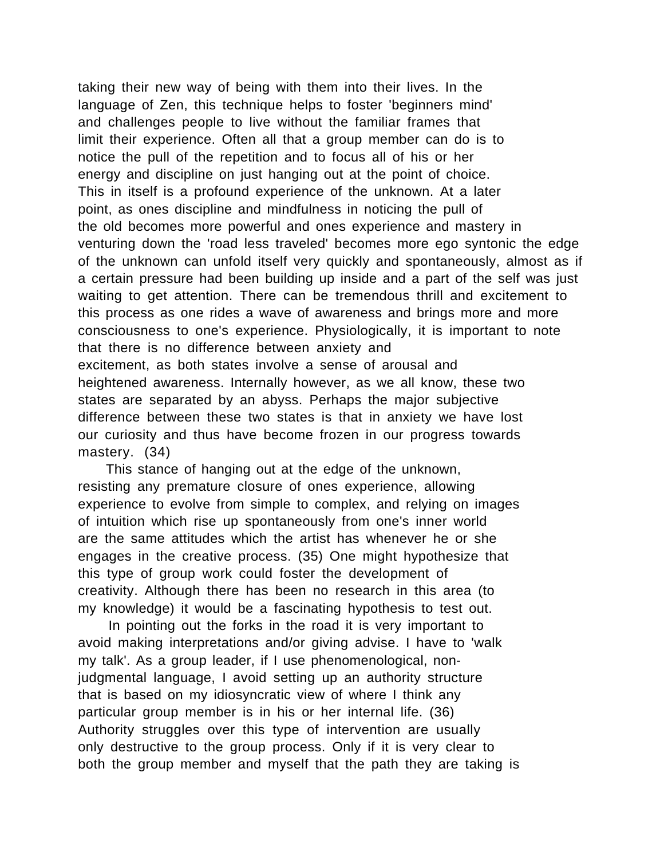taking their new way of being with them into their lives. In the language of Zen, this technique helps to foster 'beginners mind' and challenges people to live without the familiar frames that limit their experience. Often all that a group member can do is to notice the pull of the repetition and to focus all of his or her energy and discipline on just hanging out at the point of choice. This in itself is a profound experience of the unknown. At a later point, as ones discipline and mindfulness in noticing the pull of the old becomes more powerful and ones experience and mastery in venturing down the 'road less traveled' becomes more ego syntonic the edge of the unknown can unfold itself very quickly and spontaneously, almost as if a certain pressure had been building up inside and a part of the self was just waiting to get attention. There can be tremendous thrill and excitement to this process as one rides a wave of awareness and brings more and more consciousness to one's experience. Physiologically, it is important to note that there is no difference between anxiety and excitement, as both states involve a sense of arousal and heightened awareness. Internally however, as we all know, these two states are separated by an abyss. Perhaps the major subjective difference between these two states is that in anxiety we have lost our curiosity and thus have become frozen in our progress towards mastery. (34)

 This stance of hanging out at the edge of the unknown, resisting any premature closure of ones experience, allowing experience to evolve from simple to complex, and relying on images of intuition which rise up spontaneously from one's inner world are the same attitudes which the artist has whenever he or she engages in the creative process. (35) One might hypothesize that this type of group work could foster the development of creativity. Although there has been no research in this area (to my knowledge) it would be a fascinating hypothesis to test out.

 In pointing out the forks in the road it is very important to avoid making interpretations and/or giving advise. I have to 'walk my talk'. As a group leader, if I use phenomenological, nonjudgmental language, I avoid setting up an authority structure that is based on my idiosyncratic view of where I think any particular group member is in his or her internal life. (36) Authority struggles over this type of intervention are usually only destructive to the group process. Only if it is very clear to both the group member and myself that the path they are taking is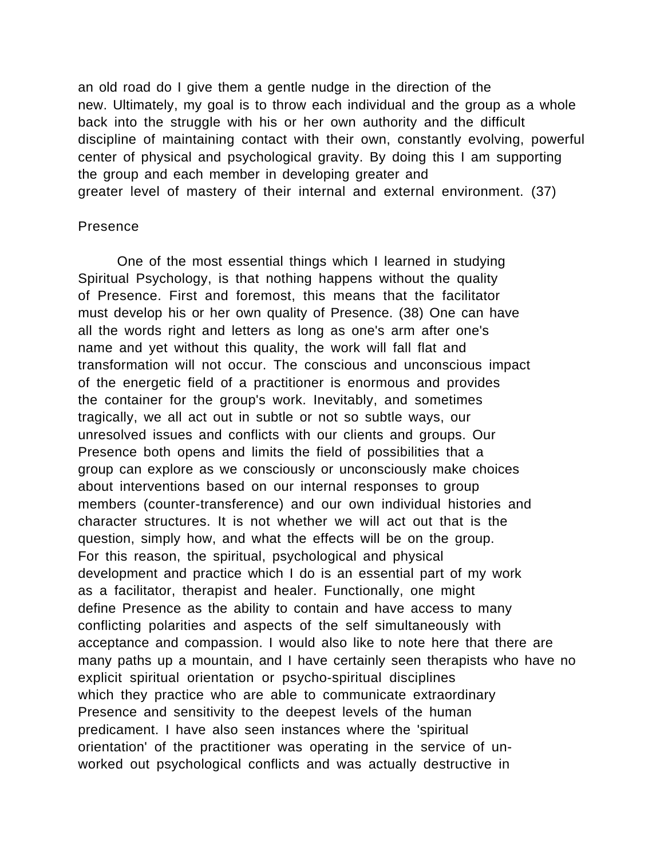an old road do I give them a gentle nudge in the direction of the new. Ultimately, my goal is to throw each individual and the group as a whole back into the struggle with his or her own authority and the difficult discipline of maintaining contact with their own, constantly evolving, powerful center of physical and psychological gravity. By doing this I am supporting the group and each member in developing greater and greater level of mastery of their internal and external environment. (37)

#### Presence

One of the most essential things which I learned in studying Spiritual Psychology, is that nothing happens without the quality of Presence. First and foremost, this means that the facilitator must develop his or her own quality of Presence. (38) One can have all the words right and letters as long as one's arm after one's name and yet without this quality, the work will fall flat and transformation will not occur. The conscious and unconscious impact of the energetic field of a practitioner is enormous and provides the container for the group's work. Inevitably, and sometimes tragically, we all act out in subtle or not so subtle ways, our unresolved issues and conflicts with our clients and groups. Our Presence both opens and limits the field of possibilities that a group can explore as we consciously or unconsciously make choices about interventions based on our internal responses to group members (counter-transference) and our own individual histories and character structures. It is not whether we will act out that is the question, simply how, and what the effects will be on the group. For this reason, the spiritual, psychological and physical development and practice which I do is an essential part of my work as a facilitator, therapist and healer. Functionally, one might define Presence as the ability to contain and have access to many conflicting polarities and aspects of the self simultaneously with acceptance and compassion. I would also like to note here that there are many paths up a mountain, and I have certainly seen therapists who have no explicit spiritual orientation or psycho-spiritual disciplines which they practice who are able to communicate extraordinary Presence and sensitivity to the deepest levels of the human predicament. I have also seen instances where the 'spiritual orientation' of the practitioner was operating in the service of unworked out psychological conflicts and was actually destructive in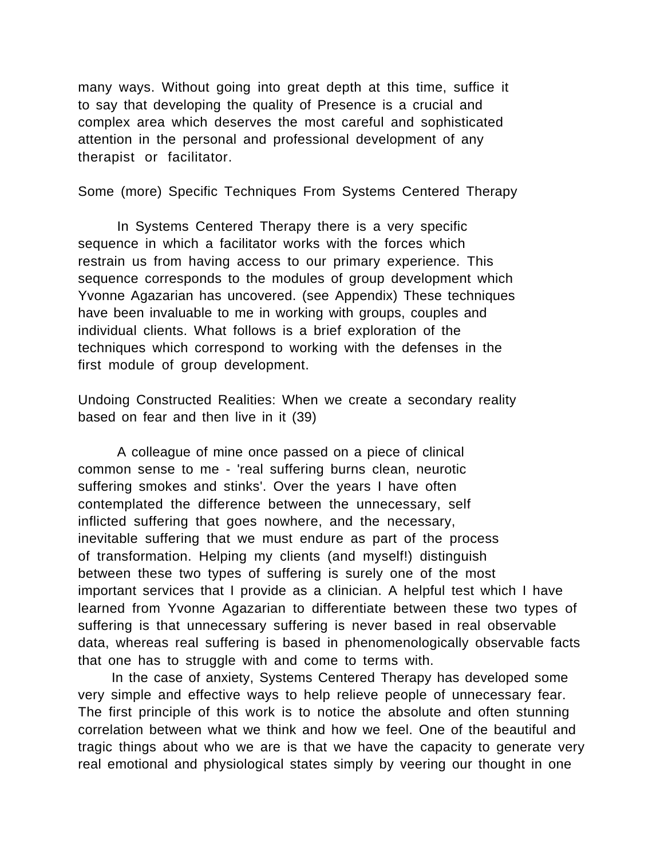many ways. Without going into great depth at this time, suffice it to say that developing the quality of Presence is a crucial and complex area which deserves the most careful and sophisticated attention in the personal and professional development of any therapist or facilitator.

Some (more) Specific Techniques From Systems Centered Therapy

In Systems Centered Therapy there is a very specific sequence in which a facilitator works with the forces which restrain us from having access to our primary experience. This sequence corresponds to the modules of group development which Yvonne Agazarian has uncovered. (see Appendix) These techniques have been invaluable to me in working with groups, couples and individual clients. What follows is a brief exploration of the techniques which correspond to working with the defenses in the first module of group development.

Undoing Constructed Realities: When we create a secondary reality based on fear and then live in it (39)

A colleague of mine once passed on a piece of clinical common sense to me - 'real suffering burns clean, neurotic suffering smokes and stinks'. Over the years I have often contemplated the difference between the unnecessary, self inflicted suffering that goes nowhere, and the necessary, inevitable suffering that we must endure as part of the process of transformation. Helping my clients (and myself!) distinguish between these two types of suffering is surely one of the most important services that I provide as a clinician. A helpful test which I have learned from Yvonne Agazarian to differentiate between these two types of suffering is that unnecessary suffering is never based in real observable data, whereas real suffering is based in phenomenologically observable facts that one has to struggle with and come to terms with.

 In the case of anxiety, Systems Centered Therapy has developed some very simple and effective ways to help relieve people of unnecessary fear. The first principle of this work is to notice the absolute and often stunning correlation between what we think and how we feel. One of the beautiful and tragic things about who we are is that we have the capacity to generate very real emotional and physiological states simply by veering our thought in one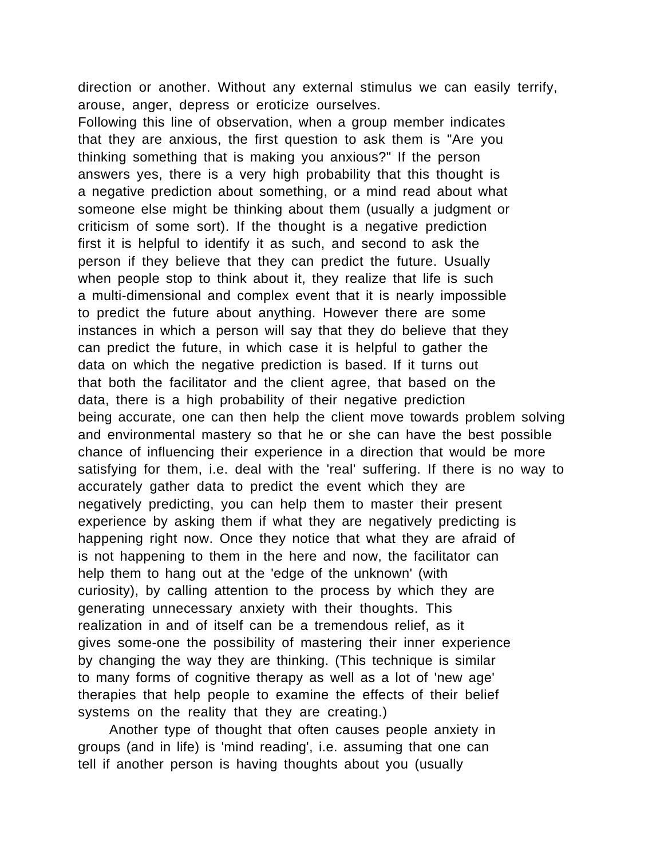direction or another. Without any external stimulus we can easily terrify, arouse, anger, depress or eroticize ourselves.

Following this line of observation, when a group member indicates that they are anxious, the first question to ask them is "Are you thinking something that is making you anxious?" If the person answers yes, there is a very high probability that this thought is a negative prediction about something, or a mind read about what someone else might be thinking about them (usually a judgment or criticism of some sort). If the thought is a negative prediction first it is helpful to identify it as such, and second to ask the person if they believe that they can predict the future. Usually when people stop to think about it, they realize that life is such a multi-dimensional and complex event that it is nearly impossible to predict the future about anything. However there are some instances in which a person will say that they do believe that they can predict the future, in which case it is helpful to gather the data on which the negative prediction is based. If it turns out that both the facilitator and the client agree, that based on the data, there is a high probability of their negative prediction being accurate, one can then help the client move towards problem solving and environmental mastery so that he or she can have the best possible chance of influencing their experience in a direction that would be more satisfying for them, i.e. deal with the 'real' suffering. If there is no way to accurately gather data to predict the event which they are negatively predicting, you can help them to master their present experience by asking them if what they are negatively predicting is happening right now. Once they notice that what they are afraid of is not happening to them in the here and now, the facilitator can help them to hang out at the 'edge of the unknown' (with curiosity), by calling attention to the process by which they are generating unnecessary anxiety with their thoughts. This realization in and of itself can be a tremendous relief, as it gives some-one the possibility of mastering their inner experience by changing the way they are thinking. (This technique is similar to many forms of cognitive therapy as well as a lot of 'new age' therapies that help people to examine the effects of their belief systems on the reality that they are creating.)

 Another type of thought that often causes people anxiety in groups (and in life) is 'mind reading', i.e. assuming that one can tell if another person is having thoughts about you (usually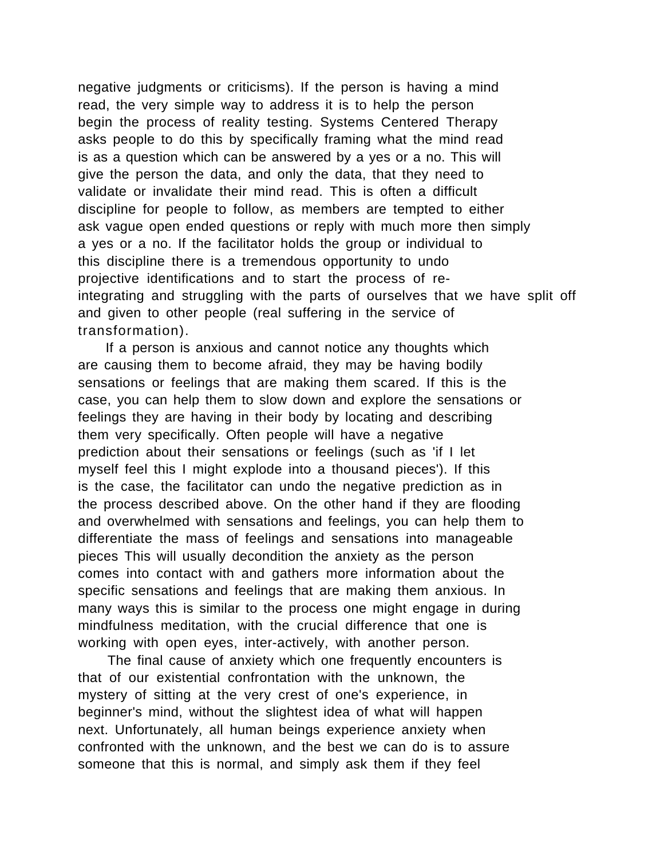negative judgments or criticisms). If the person is having a mind read, the very simple way to address it is to help the person begin the process of reality testing. Systems Centered Therapy asks people to do this by specifically framing what the mind read is as a question which can be answered by a yes or a no. This will give the person the data, and only the data, that they need to validate or invalidate their mind read. This is often a difficult discipline for people to follow, as members are tempted to either ask vague open ended questions or reply with much more then simply a yes or a no. If the facilitator holds the group or individual to this discipline there is a tremendous opportunity to undo projective identifications and to start the process of reintegrating and struggling with the parts of ourselves that we have split off and given to other people (real suffering in the service of transformation).

 If a person is anxious and cannot notice any thoughts which are causing them to become afraid, they may be having bodily sensations or feelings that are making them scared. If this is the case, you can help them to slow down and explore the sensations or feelings they are having in their body by locating and describing them very specifically. Often people will have a negative prediction about their sensations or feelings (such as 'if I let myself feel this I might explode into a thousand pieces'). If this is the case, the facilitator can undo the negative prediction as in the process described above. On the other hand if they are flooding and overwhelmed with sensations and feelings, you can help them to differentiate the mass of feelings and sensations into manageable pieces This will usually decondition the anxiety as the person comes into contact with and gathers more information about the specific sensations and feelings that are making them anxious. In many ways this is similar to the process one might engage in during mindfulness meditation, with the crucial difference that one is working with open eyes, inter-actively, with another person.

 The final cause of anxiety which one frequently encounters is that of our existential confrontation with the unknown, the mystery of sitting at the very crest of one's experience, in beginner's mind, without the slightest idea of what will happen next. Unfortunately, all human beings experience anxiety when confronted with the unknown, and the best we can do is to assure someone that this is normal, and simply ask them if they feel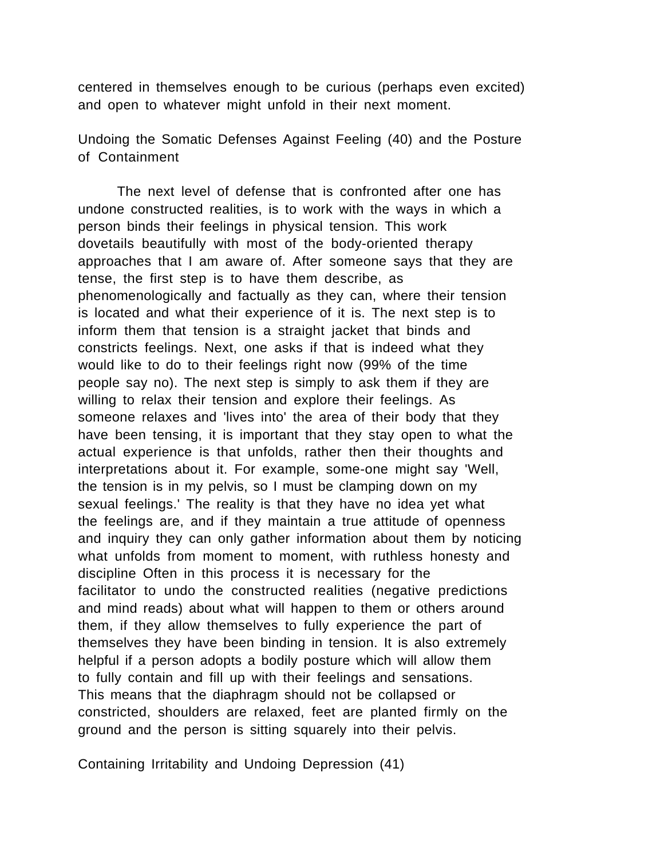centered in themselves enough to be curious (perhaps even excited) and open to whatever might unfold in their next moment.

Undoing the Somatic Defenses Against Feeling (40) and the Posture of Containment

The next level of defense that is confronted after one has undone constructed realities, is to work with the ways in which a person binds their feelings in physical tension. This work dovetails beautifully with most of the body-oriented therapy approaches that I am aware of. After someone says that they are tense, the first step is to have them describe, as phenomenologically and factually as they can, where their tension is located and what their experience of it is. The next step is to inform them that tension is a straight jacket that binds and constricts feelings. Next, one asks if that is indeed what they would like to do to their feelings right now (99% of the time people say no). The next step is simply to ask them if they are willing to relax their tension and explore their feelings. As someone relaxes and 'lives into' the area of their body that they have been tensing, it is important that they stay open to what the actual experience is that unfolds, rather then their thoughts and interpretations about it. For example, some-one might say 'Well, the tension is in my pelvis, so I must be clamping down on my sexual feelings.' The reality is that they have no idea yet what the feelings are, and if they maintain a true attitude of openness and inquiry they can only gather information about them by noticing what unfolds from moment to moment, with ruthless honesty and discipline Often in this process it is necessary for the facilitator to undo the constructed realities (negative predictions and mind reads) about what will happen to them or others around them, if they allow themselves to fully experience the part of themselves they have been binding in tension. It is also extremely helpful if a person adopts a bodily posture which will allow them to fully contain and fill up with their feelings and sensations. This means that the diaphragm should not be collapsed or constricted, shoulders are relaxed, feet are planted firmly on the ground and the person is sitting squarely into their pelvis.

Containing Irritability and Undoing Depression (41)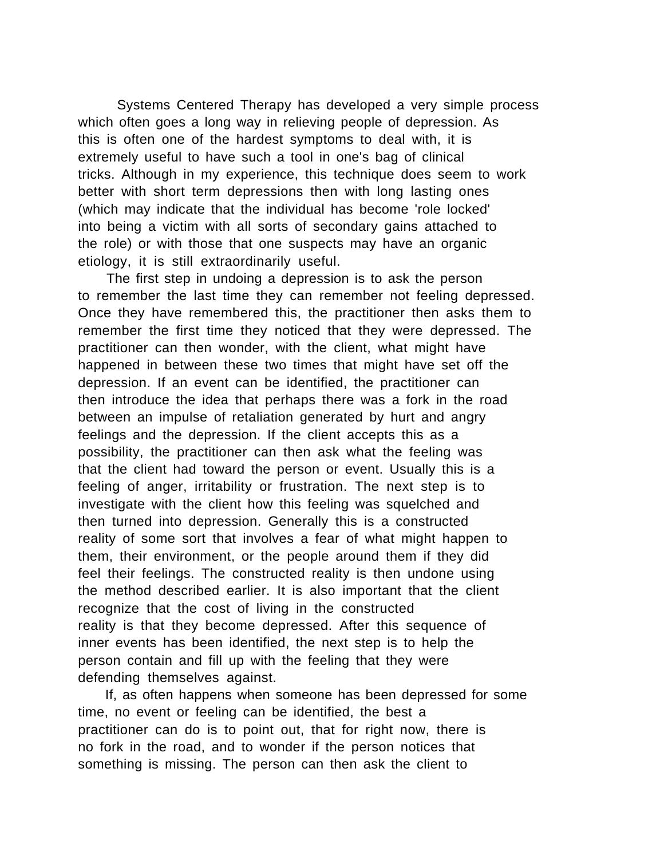Systems Centered Therapy has developed a very simple process which often goes a long way in relieving people of depression. As this is often one of the hardest symptoms to deal with, it is extremely useful to have such a tool in one's bag of clinical tricks. Although in my experience, this technique does seem to work better with short term depressions then with long lasting ones (which may indicate that the individual has become 'role locked' into being a victim with all sorts of secondary gains attached to the role) or with those that one suspects may have an organic etiology, it is still extraordinarily useful.

 The first step in undoing a depression is to ask the person to remember the last time they can remember not feeling depressed. Once they have remembered this, the practitioner then asks them to remember the first time they noticed that they were depressed. The practitioner can then wonder, with the client, what might have happened in between these two times that might have set off the depression. If an event can be identified, the practitioner can then introduce the idea that perhaps there was a fork in the road between an impulse of retaliation generated by hurt and angry feelings and the depression. If the client accepts this as a possibility, the practitioner can then ask what the feeling was that the client had toward the person or event. Usually this is a feeling of anger, irritability or frustration. The next step is to investigate with the client how this feeling was squelched and then turned into depression. Generally this is a constructed reality of some sort that involves a fear of what might happen to them, their environment, or the people around them if they did feel their feelings. The constructed reality is then undone using the method described earlier. It is also important that the client recognize that the cost of living in the constructed reality is that they become depressed. After this sequence of inner events has been identified, the next step is to help the person contain and fill up with the feeling that they were defending themselves against.

 If, as often happens when someone has been depressed for some time, no event or feeling can be identified, the best a practitioner can do is to point out, that for right now, there is no fork in the road, and to wonder if the person notices that something is missing. The person can then ask the client to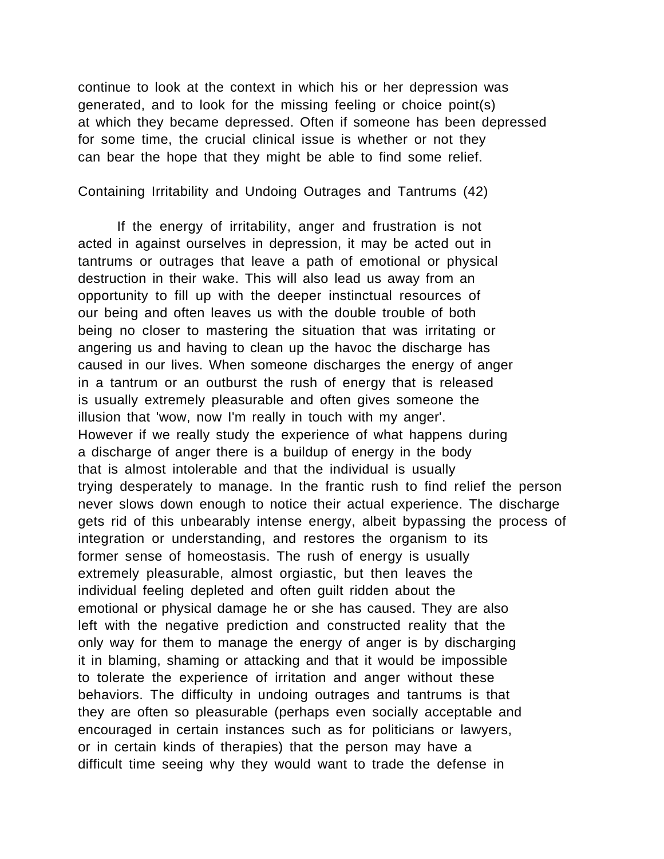continue to look at the context in which his or her depression was generated, and to look for the missing feeling or choice point(s) at which they became depressed. Often if someone has been depressed for some time, the crucial clinical issue is whether or not they can bear the hope that they might be able to find some relief.

Containing Irritability and Undoing Outrages and Tantrums (42)

If the energy of irritability, anger and frustration is not acted in against ourselves in depression, it may be acted out in tantrums or outrages that leave a path of emotional or physical destruction in their wake. This will also lead us away from an opportunity to fill up with the deeper instinctual resources of our being and often leaves us with the double trouble of both being no closer to mastering the situation that was irritating or angering us and having to clean up the havoc the discharge has caused in our lives. When someone discharges the energy of anger in a tantrum or an outburst the rush of energy that is released is usually extremely pleasurable and often gives someone the illusion that 'wow, now I'm really in touch with my anger'. However if we really study the experience of what happens during a discharge of anger there is a buildup of energy in the body that is almost intolerable and that the individual is usually trying desperately to manage. In the frantic rush to find relief the person never slows down enough to notice their actual experience. The discharge gets rid of this unbearably intense energy, albeit bypassing the process of integration or understanding, and restores the organism to its former sense of homeostasis. The rush of energy is usually extremely pleasurable, almost orgiastic, but then leaves the individual feeling depleted and often guilt ridden about the emotional or physical damage he or she has caused. They are also left with the negative prediction and constructed reality that the only way for them to manage the energy of anger is by discharging it in blaming, shaming or attacking and that it would be impossible to tolerate the experience of irritation and anger without these behaviors. The difficulty in undoing outrages and tantrums is that they are often so pleasurable (perhaps even socially acceptable and encouraged in certain instances such as for politicians or lawyers, or in certain kinds of therapies) that the person may have a difficult time seeing why they would want to trade the defense in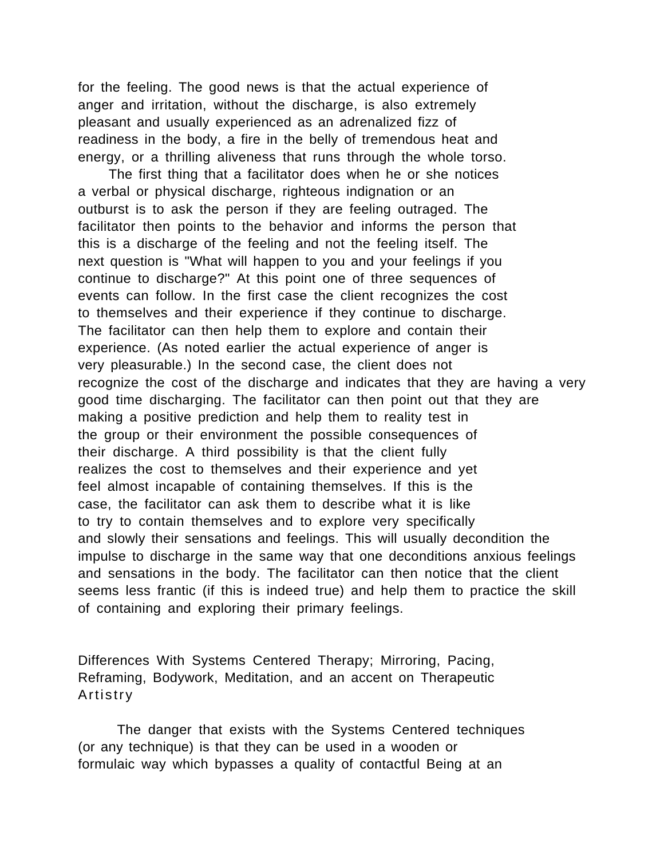for the feeling. The good news is that the actual experience of anger and irritation, without the discharge, is also extremely pleasant and usually experienced as an adrenalized fizz of readiness in the body, a fire in the belly of tremendous heat and energy, or a thrilling aliveness that runs through the whole torso.

 The first thing that a facilitator does when he or she notices a verbal or physical discharge, righteous indignation or an outburst is to ask the person if they are feeling outraged. The facilitator then points to the behavior and informs the person that this is a discharge of the feeling and not the feeling itself. The next question is "What will happen to you and your feelings if you continue to discharge?" At this point one of three sequences of events can follow. In the first case the client recognizes the cost to themselves and their experience if they continue to discharge. The facilitator can then help them to explore and contain their experience. (As noted earlier the actual experience of anger is very pleasurable.) In the second case, the client does not recognize the cost of the discharge and indicates that they are having a very good time discharging. The facilitator can then point out that they are making a positive prediction and help them to reality test in the group or their environment the possible consequences of their discharge. A third possibility is that the client fully realizes the cost to themselves and their experience and yet feel almost incapable of containing themselves. If this is the case, the facilitator can ask them to describe what it is like to try to contain themselves and to explore very specifically and slowly their sensations and feelings. This will usually decondition the impulse to discharge in the same way that one deconditions anxious feelings and sensations in the body. The facilitator can then notice that the client seems less frantic (if this is indeed true) and help them to practice the skill of containing and exploring their primary feelings.

Differences With Systems Centered Therapy; Mirroring, Pacing, Reframing, Bodywork, Meditation, and an accent on Therapeutic Artistry

The danger that exists with the Systems Centered techniques (or any technique) is that they can be used in a wooden or formulaic way which bypasses a quality of contactful Being at an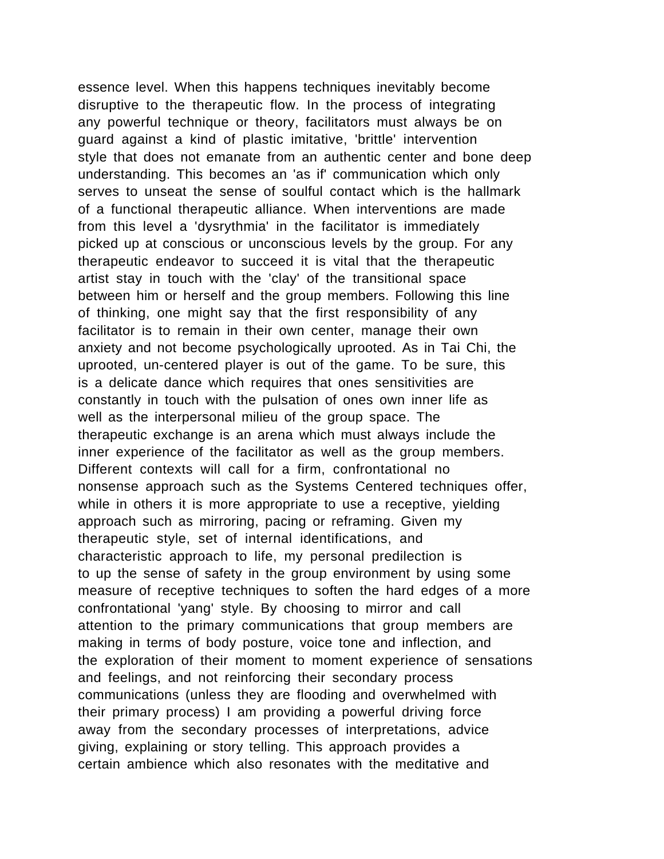essence level. When this happens techniques inevitably become disruptive to the therapeutic flow. In the process of integrating any powerful technique or theory, facilitators must always be on guard against a kind of plastic imitative, 'brittle' intervention style that does not emanate from an authentic center and bone deep understanding. This becomes an 'as if' communication which only serves to unseat the sense of soulful contact which is the hallmark of a functional therapeutic alliance. When interventions are made from this level a 'dysrythmia' in the facilitator is immediately picked up at conscious or unconscious levels by the group. For any therapeutic endeavor to succeed it is vital that the therapeutic artist stay in touch with the 'clay' of the transitional space between him or herself and the group members. Following this line of thinking, one might say that the first responsibility of any facilitator is to remain in their own center, manage their own anxiety and not become psychologically uprooted. As in Tai Chi, the uprooted, un-centered player is out of the game. To be sure, this is a delicate dance which requires that ones sensitivities are constantly in touch with the pulsation of ones own inner life as well as the interpersonal milieu of the group space. The therapeutic exchange is an arena which must always include the inner experience of the facilitator as well as the group members. Different contexts will call for a firm, confrontational no nonsense approach such as the Systems Centered techniques offer, while in others it is more appropriate to use a receptive, yielding approach such as mirroring, pacing or reframing. Given my therapeutic style, set of internal identifications, and characteristic approach to life, my personal predilection is to up the sense of safety in the group environment by using some measure of receptive techniques to soften the hard edges of a more confrontational 'yang' style. By choosing to mirror and call attention to the primary communications that group members are making in terms of body posture, voice tone and inflection, and the exploration of their moment to moment experience of sensations and feelings, and not reinforcing their secondary process communications (unless they are flooding and overwhelmed with their primary process) I am providing a powerful driving force away from the secondary processes of interpretations, advice giving, explaining or story telling. This approach provides a certain ambience which also resonates with the meditative and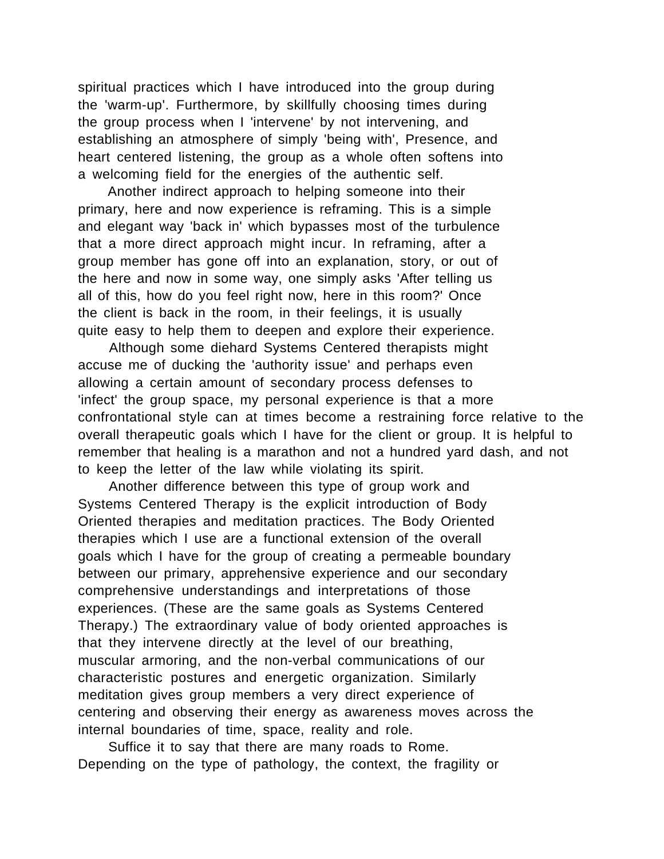spiritual practices which I have introduced into the group during the 'warm-up'. Furthermore, by skillfully choosing times during the group process when I 'intervene' by not intervening, and establishing an atmosphere of simply 'being with', Presence, and heart centered listening, the group as a whole often softens into a welcoming field for the energies of the authentic self.

 Another indirect approach to helping someone into their primary, here and now experience is reframing. This is a simple and elegant way 'back in' which bypasses most of the turbulence that a more direct approach might incur. In reframing, after a group member has gone off into an explanation, story, or out of the here and now in some way, one simply asks 'After telling us all of this, how do you feel right now, here in this room?' Once the client is back in the room, in their feelings, it is usually quite easy to help them to deepen and explore their experience.

 Although some diehard Systems Centered therapists might accuse me of ducking the 'authority issue' and perhaps even allowing a certain amount of secondary process defenses to 'infect' the group space, my personal experience is that a more confrontational style can at times become a restraining force relative to the overall therapeutic goals which I have for the client or group. It is helpful to remember that healing is a marathon and not a hundred yard dash, and not to keep the letter of the law while violating its spirit.

 Another difference between this type of group work and Systems Centered Therapy is the explicit introduction of Body Oriented therapies and meditation practices. The Body Oriented therapies which I use are a functional extension of the overall goals which I have for the group of creating a permeable boundary between our primary, apprehensive experience and our secondary comprehensive understandings and interpretations of those experiences. (These are the same goals as Systems Centered Therapy.) The extraordinary value of body oriented approaches is that they intervene directly at the level of our breathing, muscular armoring, and the non-verbal communications of our characteristic postures and energetic organization. Similarly meditation gives group members a very direct experience of centering and observing their energy as awareness moves across the internal boundaries of time, space, reality and role.

 Suffice it to say that there are many roads to Rome. Depending on the type of pathology, the context, the fragility or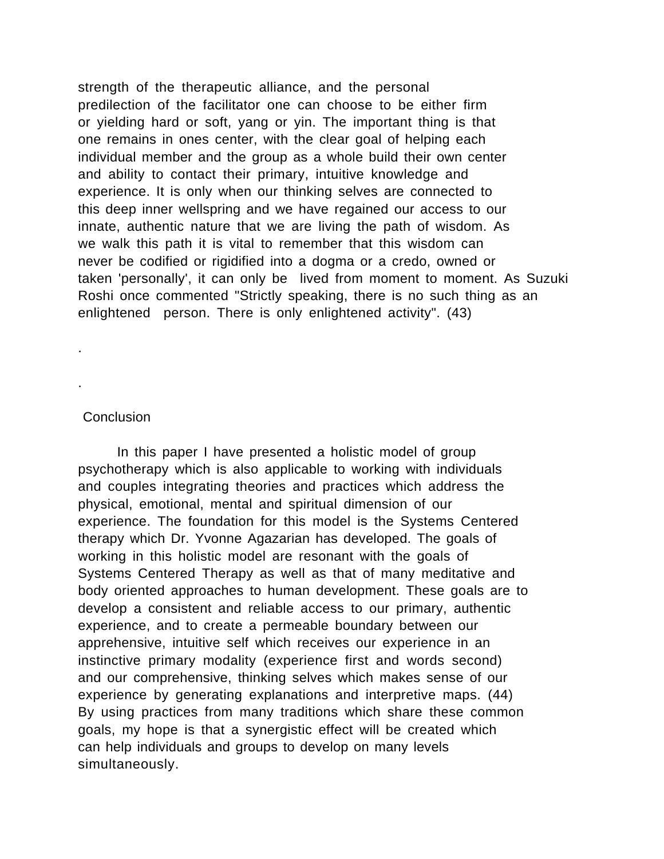strength of the therapeutic alliance, and the personal predilection of the facilitator one can choose to be either firm or yielding hard or soft, yang or yin. The important thing is that one remains in ones center, with the clear goal of helping each individual member and the group as a whole build their own center and ability to contact their primary, intuitive knowledge and experience. It is only when our thinking selves are connected to this deep inner wellspring and we have regained our access to our innate, authentic nature that we are living the path of wisdom. As we walk this path it is vital to remember that this wisdom can never be codified or rigidified into a dogma or a credo, owned or taken 'personally', it can only be lived from moment to moment. As Suzuki Roshi once commented "Strictly speaking, there is no such thing as an enlightened person. There is only enlightened activity". (43)

**Conclusion** 

.

.

In this paper I have presented a holistic model of group psychotherapy which is also applicable to working with individuals and couples integrating theories and practices which address the physical, emotional, mental and spiritual dimension of our experience. The foundation for this model is the Systems Centered therapy which Dr. Yvonne Agazarian has developed. The goals of working in this holistic model are resonant with the goals of Systems Centered Therapy as well as that of many meditative and body oriented approaches to human development. These goals are to develop a consistent and reliable access to our primary, authentic experience, and to create a permeable boundary between our apprehensive, intuitive self which receives our experience in an instinctive primary modality (experience first and words second) and our comprehensive, thinking selves which makes sense of our experience by generating explanations and interpretive maps. (44) By using practices from many traditions which share these common goals, my hope is that a synergistic effect will be created which can help individuals and groups to develop on many levels simultaneously.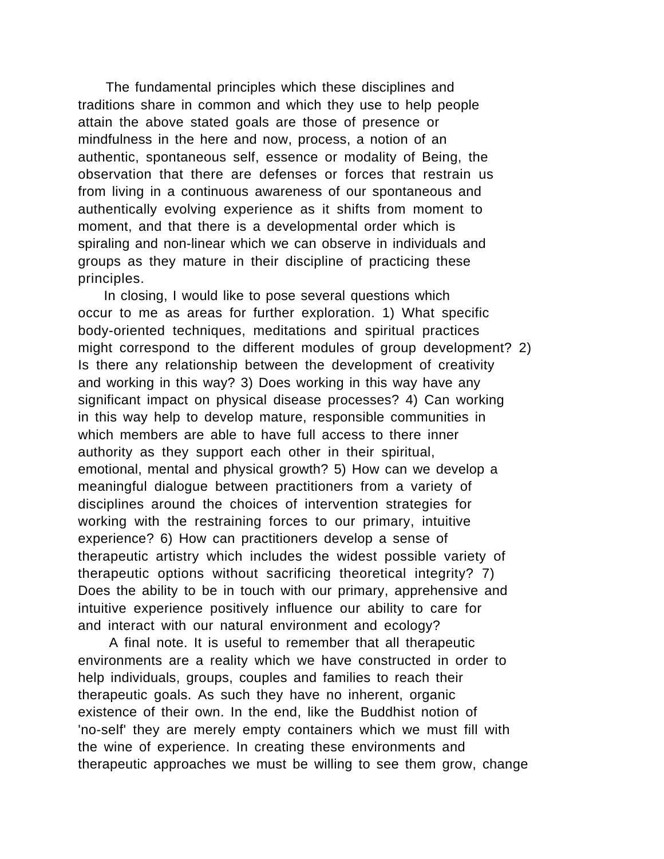The fundamental principles which these disciplines and traditions share in common and which they use to help people attain the above stated goals are those of presence or mindfulness in the here and now, process, a notion of an authentic, spontaneous self, essence or modality of Being, the observation that there are defenses or forces that restrain us from living in a continuous awareness of our spontaneous and authentically evolving experience as it shifts from moment to moment, and that there is a developmental order which is spiraling and non-linear which we can observe in individuals and groups as they mature in their discipline of practicing these principles.

 In closing, I would like to pose several questions which occur to me as areas for further exploration. 1) What specific body-oriented techniques, meditations and spiritual practices might correspond to the different modules of group development? 2) Is there any relationship between the development of creativity and working in this way? 3) Does working in this way have any significant impact on physical disease processes? 4) Can working in this way help to develop mature, responsible communities in which members are able to have full access to there inner authority as they support each other in their spiritual, emotional, mental and physical growth? 5) How can we develop a meaningful dialogue between practitioners from a variety of disciplines around the choices of intervention strategies for working with the restraining forces to our primary, intuitive experience? 6) How can practitioners develop a sense of therapeutic artistry which includes the widest possible variety of therapeutic options without sacrificing theoretical integrity? 7) Does the ability to be in touch with our primary, apprehensive and intuitive experience positively influence our ability to care for and interact with our natural environment and ecology?

 A final note. It is useful to remember that all therapeutic environments are a reality which we have constructed in order to help individuals, groups, couples and families to reach their therapeutic goals. As such they have no inherent, organic existence of their own. In the end, like the Buddhist notion of 'no-self' they are merely empty containers which we must fill with the wine of experience. In creating these environments and therapeutic approaches we must be willing to see them grow, change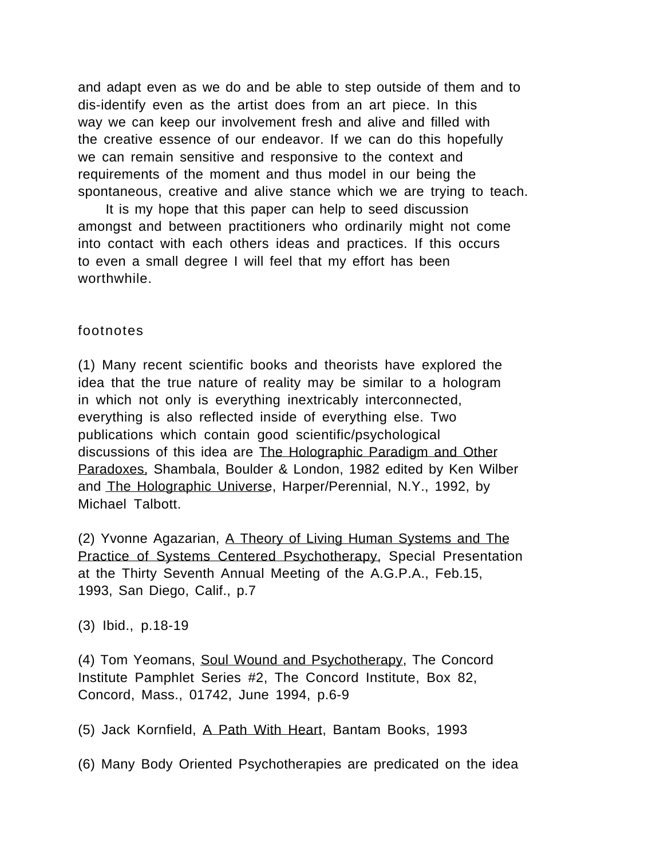and adapt even as we do and be able to step outside of them and to dis-identify even as the artist does from an art piece. In this way we can keep our involvement fresh and alive and filled with the creative essence of our endeavor. If we can do this hopefully we can remain sensitive and responsive to the context and requirements of the moment and thus model in our being the spontaneous, creative and alive stance which we are trying to teach.

 It is my hope that this paper can help to seed discussion amongst and between practitioners who ordinarily might not come into contact with each others ideas and practices. If this occurs to even a small degree I will feel that my effort has been worthwhile.

### footnotes

(1) Many recent scientific books and theorists have explored the idea that the true nature of reality may be similar to a hologram in which not only is everything inextricably interconnected, everything is also reflected inside of everything else. Two publications which contain good scientific/psychological discussions of this idea are The Holographic Paradigm and Other Paradoxes, Shambala, Boulder & London, 1982 edited by Ken Wilber and The Holographic Universe, Harper/Perennial, N.Y., 1992, by Michael Talbott.

(2) Yvonne Agazarian, A Theory of Living Human Systems and The Practice of Systems Centered Psychotherapy, Special Presentation at the Thirty Seventh Annual Meeting of the A.G.P.A., Feb.15, 1993, San Diego, Calif., p.7

(3) Ibid., p.18-19

(4) Tom Yeomans, Soul Wound and Psychotherapy, The Concord Institute Pamphlet Series #2, The Concord Institute, Box 82, Concord, Mass., 01742, June 1994, p.6-9

(5) Jack Kornfield, A Path With Heart, Bantam Books, 1993

(6) Many Body Oriented Psychotherapies are predicated on the idea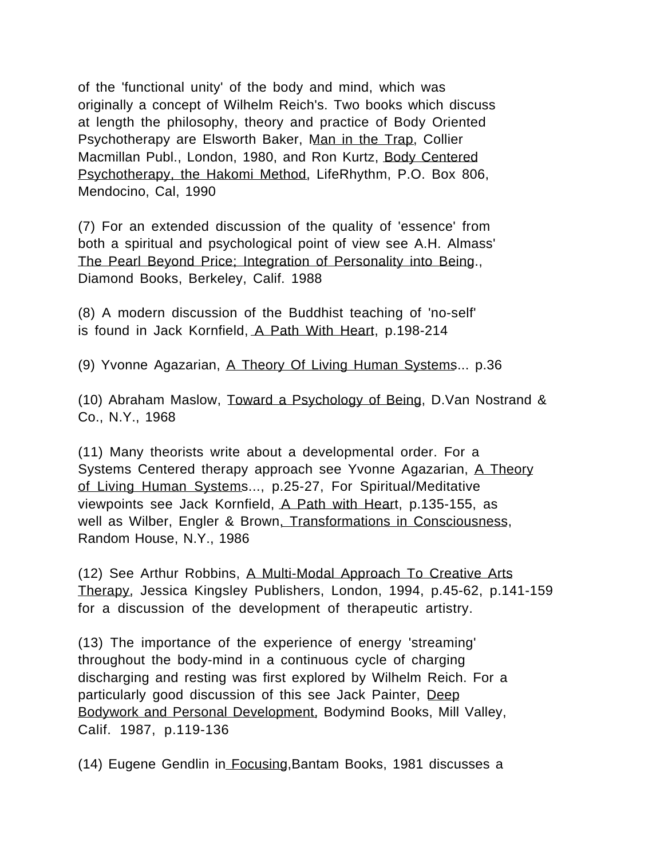of the 'functional unity' of the body and mind, which was originally a concept of Wilhelm Reich's. Two books which discuss at length the philosophy, theory and practice of Body Oriented Psychotherapy are Elsworth Baker, Man in the Trap, Collier Macmillan Publ., London, 1980, and Ron Kurtz, Body Centered Psychotherapy, the Hakomi Method, LifeRhythm, P.O. Box 806, Mendocino, Cal, 1990

(7) For an extended discussion of the quality of 'essence' from both a spiritual and psychological point of view see A.H. Almass' The Pearl Beyond Price; Integration of Personality into Being., Diamond Books, Berkeley, Calif. 1988

(8) A modern discussion of the Buddhist teaching of 'no-self' is found in Jack Kornfield, A Path With Heart, p.198-214

(9) Yvonne Agazarian, A Theory Of Living Human Systems... p.36

(10) Abraham Maslow, Toward a Psychology of Being, D.Van Nostrand & Co., N.Y., 1968

(11) Many theorists write about a developmental order. For a Systems Centered therapy approach see Yvonne Agazarian, A Theory of Living Human Systems..., p.25-27, For Spiritual/Meditative viewpoints see Jack Kornfield, A Path with Heart, p.135-155, as well as Wilber, Engler & Brown, Transformations in Consciousness, Random House, N.Y., 1986

(12) See Arthur Robbins, A Multi-Modal Approach To Creative Arts Therapy, Jessica Kingsley Publishers, London, 1994, p.45-62, p.141-159 for a discussion of the development of therapeutic artistry.

(13) The importance of the experience of energy 'streaming' throughout the body-mind in a continuous cycle of charging discharging and resting was first explored by Wilhelm Reich. For a particularly good discussion of this see Jack Painter, Deep Bodywork and Personal Development, Bodymind Books, Mill Valley, Calif. 1987, p.119-136

(14) Eugene Gendlin in Focusing,Bantam Books, 1981 discusses a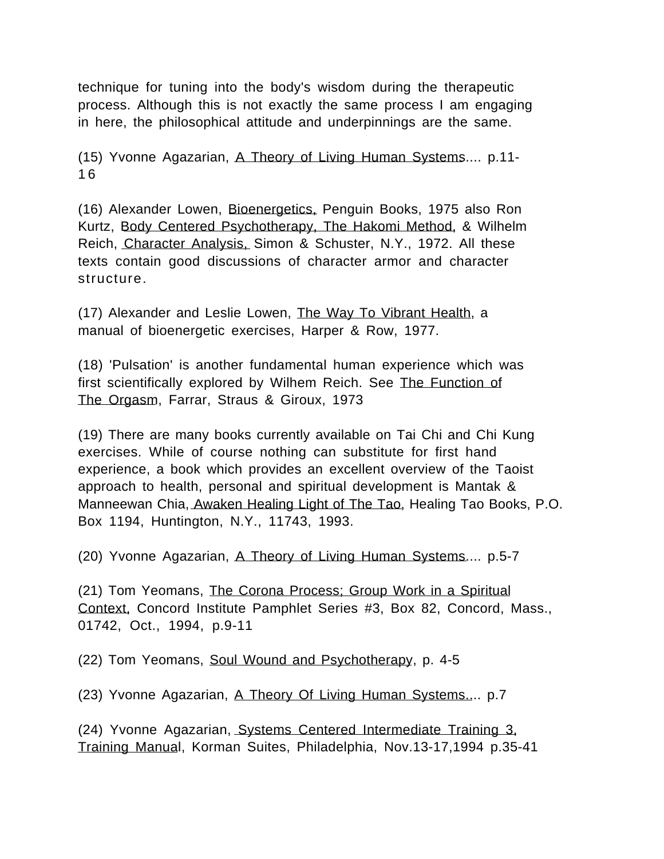technique for tuning into the body's wisdom during the therapeutic process. Although this is not exactly the same process I am engaging in here, the philosophical attitude and underpinnings are the same.

(15) Yvonne Agazarian, A Theory of Living Human Systems.... p.11- 1 6

(16) Alexander Lowen, Bioenergetics, Penguin Books, 1975 also Ron Kurtz, Body Centered Psychotherapy, The Hakomi Method, & Wilhelm Reich, Character Analysis, Simon & Schuster, N.Y., 1972. All these texts contain good discussions of character armor and character structure.

(17) Alexander and Leslie Lowen, The Way To Vibrant Health, a manual of bioenergetic exercises, Harper & Row, 1977.

(18) 'Pulsation' is another fundamental human experience which was first scientifically explored by Wilhem Reich. See The Function of The Orgasm, Farrar, Straus & Giroux, 1973

(19) There are many books currently available on Tai Chi and Chi Kung exercises. While of course nothing can substitute for first hand experience, a book which provides an excellent overview of the Taoist approach to health, personal and spiritual development is Mantak & Manneewan Chia, Awaken Healing Light of The Tao, Healing Tao Books, P.O. Box 1194, Huntington, N.Y., 11743, 1993.

(20) Yvonne Agazarian, A Theory of Living Human Systems.... p.5-7

(21) Tom Yeomans, The Corona Process; Group Work in a Spiritual Context, Concord Institute Pamphlet Series #3, Box 82, Concord, Mass., 01742, Oct., 1994, p.9-11

(22) Tom Yeomans, Soul Wound and Psychotherapy, p. 4-5

(23) Yvonne Agazarian, A Theory Of Living Human Systems.... p.7

(24) Yvonne Agazarian, Systems Centered Intermediate Training 3, Training Manual, Korman Suites, Philadelphia, Nov.13-17,1994 p.35-41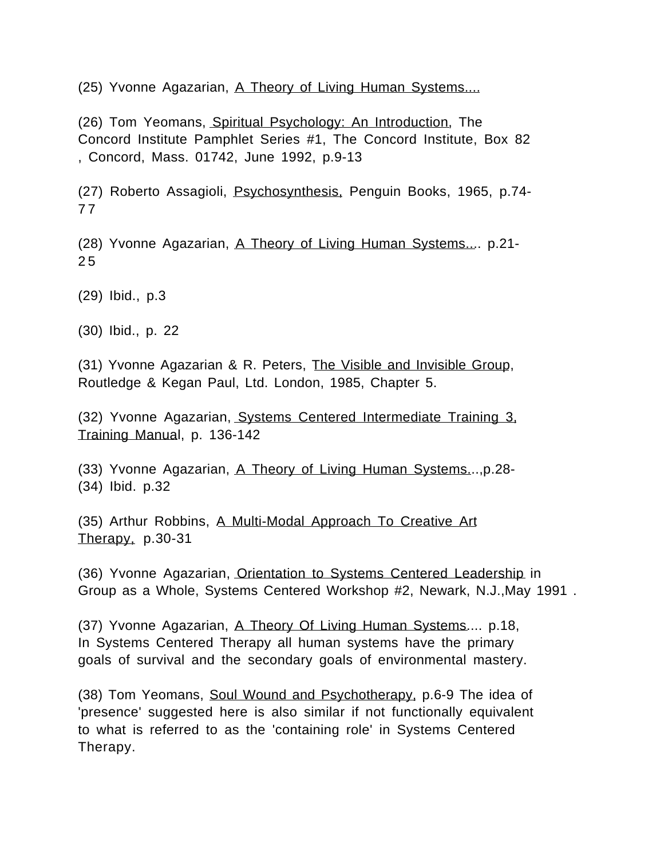(25) Yvonne Agazarian, A Theory of Living Human Systems....

(26) Tom Yeomans, Spiritual Psychology: An Introduction, The Concord Institute Pamphlet Series #1, The Concord Institute, Box 82 , Concord, Mass. 01742, June 1992, p.9-13

(27) Roberto Assagioli, Psychosynthesis, Penguin Books, 1965, p.74- 7 7

(28) Yvonne Agazarian, A Theory of Living Human Systems.... p.21- 2 5

(29) Ibid., p.3

(30) Ibid., p. 22

(31) Yvonne Agazarian & R. Peters, The Visible and Invisible Group, Routledge & Kegan Paul, Ltd. London, 1985, Chapter 5.

(32) Yvonne Agazarian, Systems Centered Intermediate Training 3, Training Manual, p. 136-142

(33) Yvonne Agazarian, A Theory of Living Human Systems...,p.28- (34) Ibid. p.32

(35) Arthur Robbins, A Multi-Modal Approach To Creative Art Therapy, p.30-31

(36) Yvonne Agazarian, Orientation to Systems Centered Leadership in Group as a Whole, Systems Centered Workshop #2, Newark, N.J.,May 1991 .

(37) Yvonne Agazarian, A Theory Of Living Human Systems.... p.18, In Systems Centered Therapy all human systems have the primary goals of survival and the secondary goals of environmental mastery.

(38) Tom Yeomans, Soul Wound and Psychotherapy, p.6-9 The idea of 'presence' suggested here is also similar if not functionally equivalent to what is referred to as the 'containing role' in Systems Centered Therapy.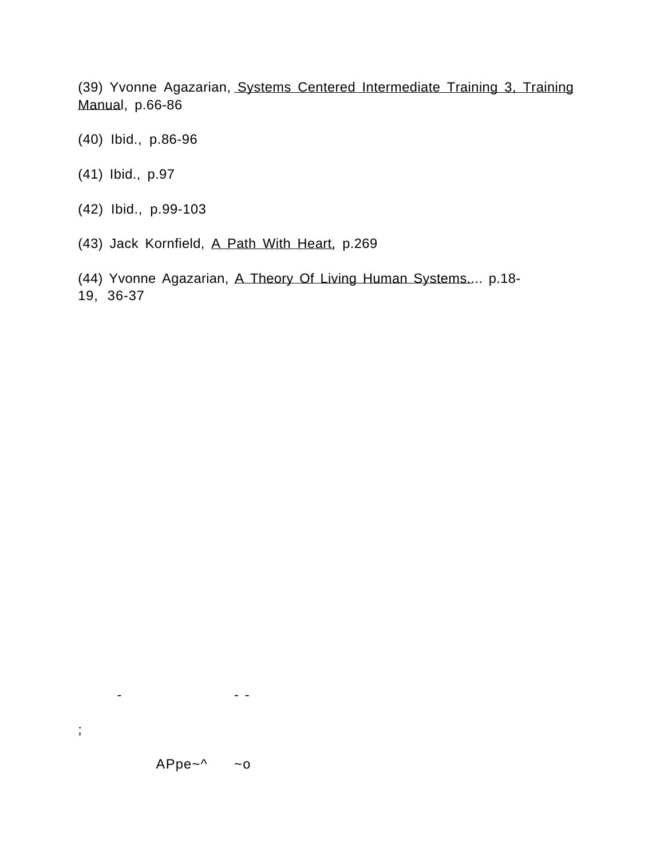(39) Yvonne Agazarian, Systems Centered Intermediate Training 3, Training Manual, p.66-86

- (40) Ibid., p.86-96
- (41) Ibid., p.97
- (42) Ibid., p.99-103
- (43) Jack Kornfield, A Path With Heart, p.269
- (44) Yvonne Agazarian, A Theory Of Living Human Systems.... p.18- 19, 36-37

- - -

;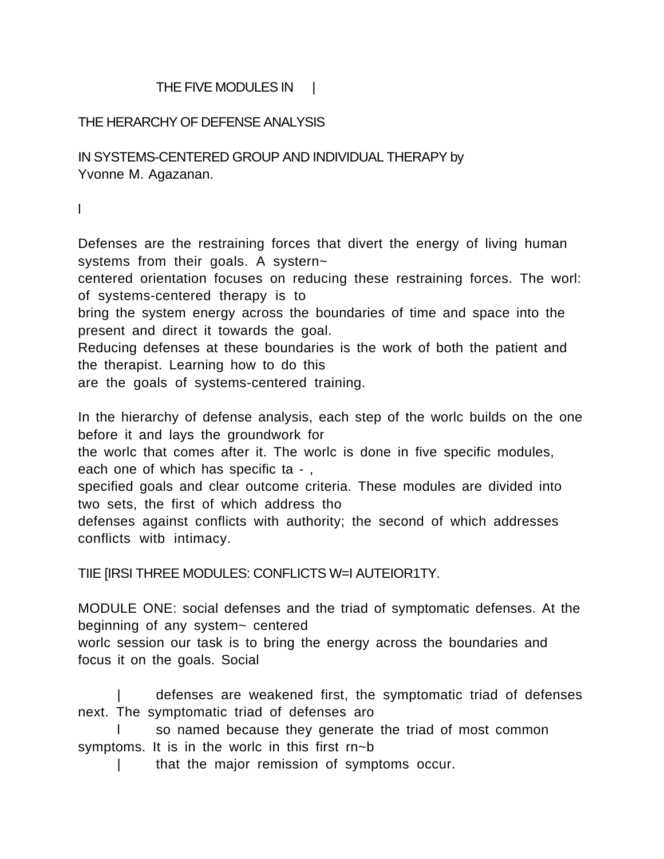## THE FIVE MODULES IN |

## THE HERARCHY OF DEFENSE ANALYSIS

IN SYSTEMS-CENTERED GROUP AND INDIVIDUAL THERAPY by Yvonne M. Agazanan.

l

Defenses are the restraining forces that divert the energy of living human systems from their goals. A systern~

centered orientation focuses on reducing these restraining forces. The worl: of systems-centered therapy is to

bring the system energy across the boundaries of time and space into the present and direct it towards the goal.

Reducing defenses at these boundaries is the work of both the patient and the therapist. Learning how to do this

are the goals of systems-centered training.

In the hierarchy of defense analysis, each step of the worlc builds on the one before it and lays the groundwork for

the worlc that comes after it. The worlc is done in five specific modules, each one of which has specific ta -,

specified goals and clear outcome criteria. These modules are divided into two sets, the first of which address tho

defenses against conflicts with authority; the second of which addresses conflicts witb intimacy.

TIIE [IRSI THREE MODULES: CONFLICTS W=I AUTEIOR1TY.

MODULE ONE: social defenses and the triad of symptomatic defenses. At the beginning of any system~ centered

worlc session our task is to bring the energy across the boundaries and focus it on the goals. Social

| defenses are weakened first, the symptomatic triad of defenses next. The symptomatic triad of defenses aro

l so named because they generate the triad of most common symptoms. It is in the worlc in this first rn~b

| that the major remission of symptoms occur.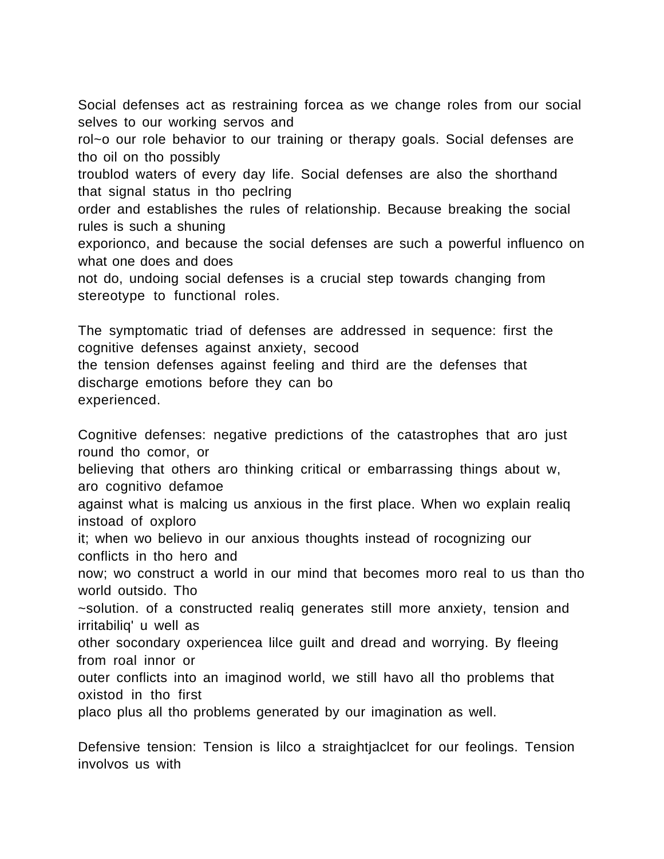Social defenses act as restraining forcea as we change roles from our social selves to our working servos and

rol~o our role behavior to our training or therapy goals. Social defenses are tho oil on tho possibly

troublod waters of every day life. Social defenses are also the shorthand that signal status in tho peclring

order and establishes the rules of relationship. Because breaking the social rules is such a shuning

exporionco, and because the social defenses are such a powerful influenco on what one does and does

not do, undoing social defenses is a crucial step towards changing from stereotype to functional roles.

The symptomatic triad of defenses are addressed in sequence: first the cognitive defenses against anxiety, secood the tension defenses against feeling and third are the defenses that discharge emotions before they can bo experienced.

Cognitive defenses: negative predictions of the catastrophes that aro just round tho comor, or

believing that others aro thinking critical or embarrassing things about w, aro cognitivo defamoe

against what is malcing us anxious in the first place. When wo explain realiq instoad of oxploro

it; when wo believo in our anxious thoughts instead of rocognizing our conflicts in tho hero and

now; wo construct a world in our mind that becomes moro real to us than tho world outsido. Tho

~solution. of a constructed realiq generates still more anxiety, tension and irritabiliq' u well as

other socondary oxperiencea lilce guilt and dread and worrying. By fleeing from roal innor or

outer conflicts into an imaginod world, we still havo all tho problems that oxistod in tho first

placo plus all tho problems generated by our imagination as well.

Defensive tension: Tension is lilco a straightjaclcet for our feolings. Tension involvos us with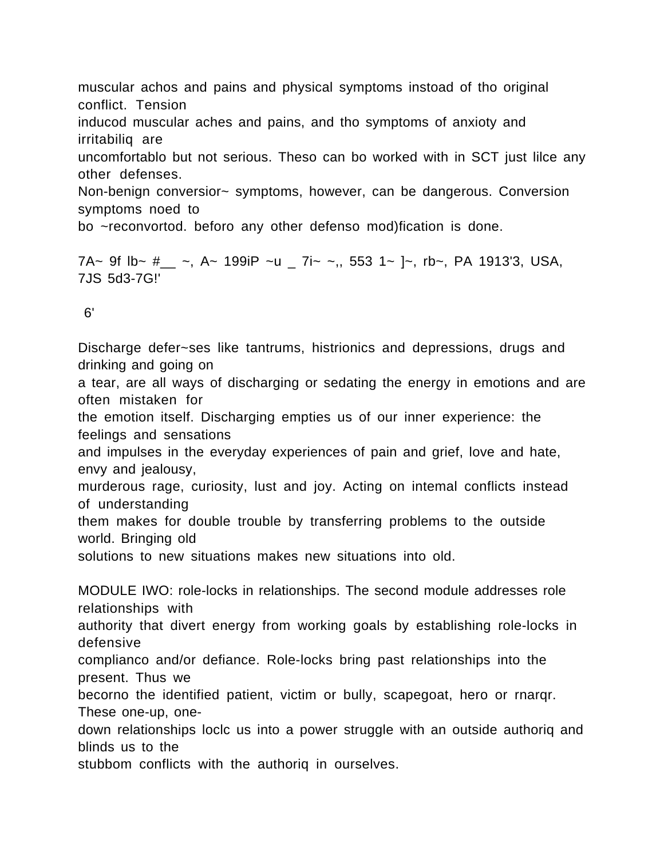muscular achos and pains and physical symptoms instoad of tho original conflict. Tension

inducod muscular aches and pains, and tho symptoms of anxioty and irritabiliq are

uncomfortablo but not serious. Theso can bo worked with in SCT just lilce any other defenses.

Non-benign conversior~ symptoms, however, can be dangerous. Conversion symptoms noed to

bo ~reconvortod. beforo any other defenso mod)fication is done.

7A~ 9f lb~  $\#_{--}$  ~, A~ 199iP ~u  $= 7i$ ~ ~,, 553 1~ ]~, rb~, PA 1913'3, USA, 7JS 5d3-7G!'

6'

Discharge defer~ses like tantrums, histrionics and depressions, drugs and drinking and going on a tear, are all ways of discharging or sedating the energy in emotions and are often mistaken for

the emotion itself. Discharging empties us of our inner experience: the feelings and sensations

and impulses in the everyday experiences of pain and grief, love and hate, envy and jealousy,

murderous rage, curiosity, lust and joy. Acting on intemal conflicts instead of understanding

them makes for double trouble by transferring problems to the outside world. Bringing old

solutions to new situations makes new situations into old.

MODULE IWO: role-locks in relationships. The second module addresses role relationships with

authority that divert energy from working goals by establishing role-locks in defensive

complianco and/or defiance. Role-locks bring past relationships into the present. Thus we

becorno the identified patient, victim or bully, scapegoat, hero or rnarqr. These one-up, one-

down relationships loclc us into a power struggle with an outside authoriq and blinds us to the

stubbom conflicts with the authoriq in ourselves.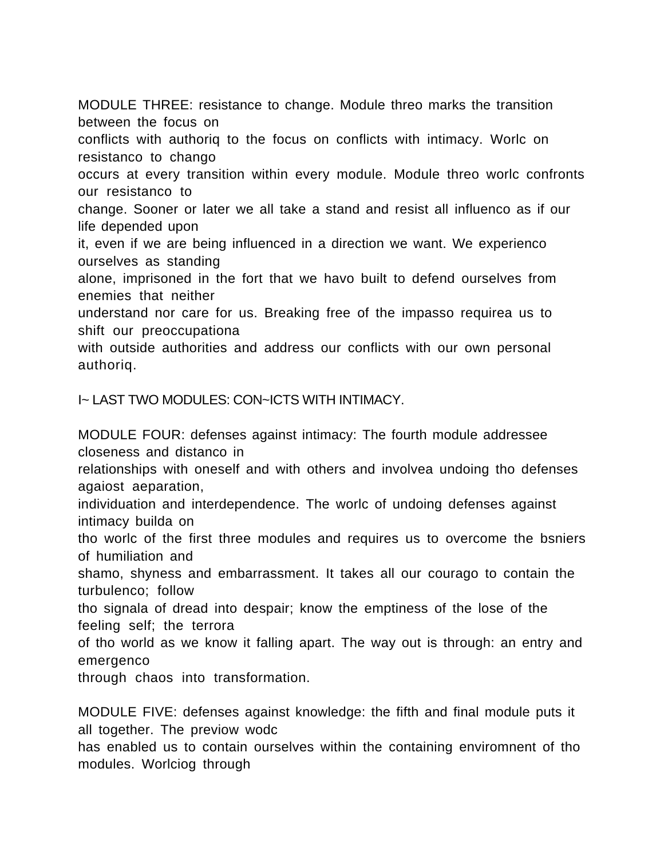MODULE THREE: resistance to change. Module threo marks the transition between the focus on

conflicts with authoriq to the focus on conflicts with intimacy. Worlc on resistanco to chango

occurs at every transition within every module. Module threo worlc confronts our resistanco to

change. Sooner or later we all take a stand and resist all influenco as if our life depended upon

it, even if we are being influenced in a direction we want. We experienco ourselves as standing

alone, imprisoned in the fort that we havo built to defend ourselves from enemies that neither

understand nor care for us. Breaking free of the impasso requirea us to shift our preoccupationa

with outside authorities and address our conflicts with our own personal authoriq.

I~ LAST TWO MODULES: CON~ICTS WITH INTIMACY.

MODULE FOUR: defenses against intimacy: The fourth module addressee closeness and distanco in

relationships with oneself and with others and involvea undoing tho defenses agaiost aeparation,

individuation and interdependence. The worlc of undoing defenses against intimacy builda on

tho worlc of the first three modules and requires us to overcome the bsniers of humiliation and

shamo, shyness and embarrassment. It takes all our courago to contain the turbulenco; follow

tho signala of dread into despair; know the emptiness of the lose of the feeling self; the terrora

of tho world as we know it falling apart. The way out is through: an entry and emergenco

through chaos into transformation.

MODULE FIVE: defenses against knowledge: the fifth and final module puts it all together. The previow wodc

has enabled us to contain ourselves within the containing enviromnent of tho modules. Worlciog through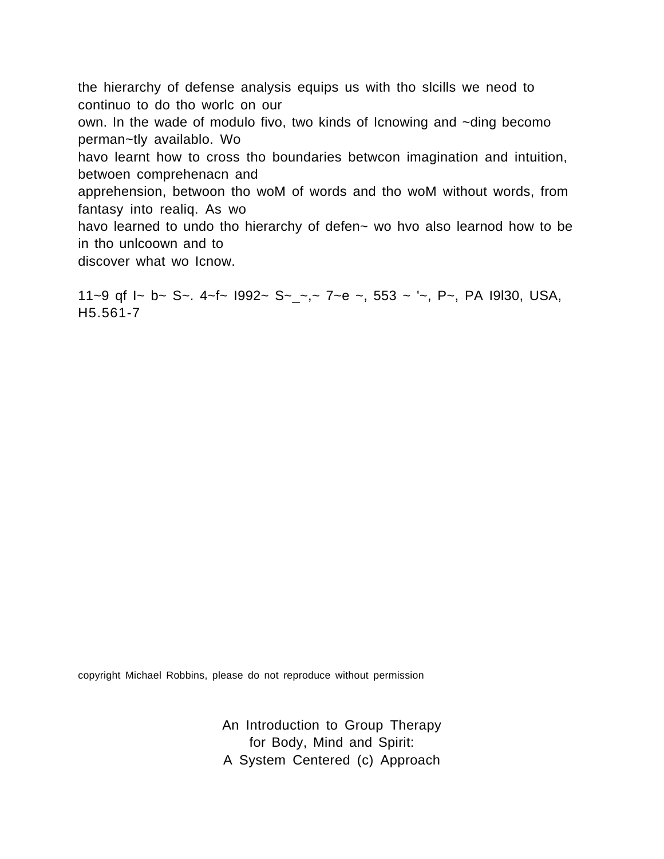the hierarchy of defense analysis equips us with tho slcills we neod to continuo to do tho worlc on our own. In the wade of modulo fivo, two kinds of Icnowing and ~ding becomo perman~tly availablo. Wo havo learnt how to cross tho boundaries betwcon imagination and intuition, betwoen comprehenacn and apprehension, betwoon tho woM of words and tho woM without words, from fantasy into realiq. As wo havo learned to undo tho hierarchy of defen~ wo hvo also learnod how to be in tho unlcoown and to discover what wo Icnow.

11~9 qf  $\lceil -b \rceil$  - S -. 4~f ~  $1992$  ~ S ~  $\lceil -c \rceil$   $\lceil -c \rceil$   $\lceil -c \rceil$   $\lceil -c \rceil$   $\lceil -c \rceil$   $\lceil -c \rceil$   $\lceil -c \rceil$   $\lceil -c \rceil$   $\lceil -c \rceil$   $\lceil -c \rceil$   $\lceil -c \rceil$   $\lceil -c \rceil$   $\lceil -c \rceil$   $\lceil -c \rceil$   $\lceil -c \rceil$   $\lceil -c \rceil$  H5.561-7

copyright Michael Robbins, please do not reproduce without permission

An Introduction to Group Therapy for Body, Mind and Spirit: A System Centered (c) Approach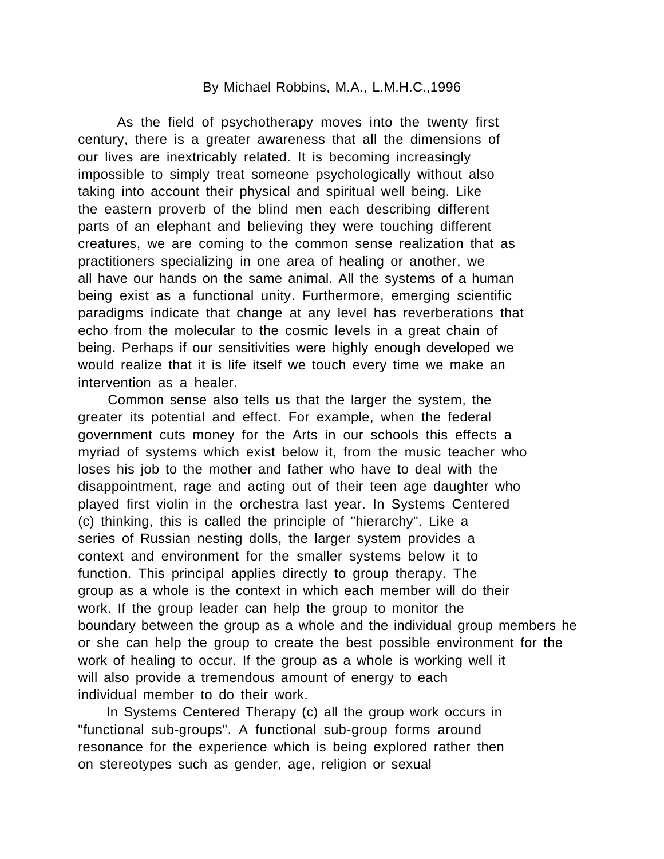### By Michael Robbins, M.A., L.M.H.C.,1996

As the field of psychotherapy moves into the twenty first century, there is a greater awareness that all the dimensions of our lives are inextricably related. It is becoming increasingly impossible to simply treat someone psychologically without also taking into account their physical and spiritual well being. Like the eastern proverb of the blind men each describing different parts of an elephant and believing they were touching different creatures, we are coming to the common sense realization that as practitioners specializing in one area of healing or another, we all have our hands on the same animal. All the systems of a human being exist as a functional unity. Furthermore, emerging scientific paradigms indicate that change at any level has reverberations that echo from the molecular to the cosmic levels in a great chain of being. Perhaps if our sensitivities were highly enough developed we would realize that it is life itself we touch every time we make an intervention as a healer.

 Common sense also tells us that the larger the system, the greater its potential and effect. For example, when the federal government cuts money for the Arts in our schools this effects a myriad of systems which exist below it, from the music teacher who loses his job to the mother and father who have to deal with the disappointment, rage and acting out of their teen age daughter who played first violin in the orchestra last year. In Systems Centered (c) thinking, this is called the principle of "hierarchy". Like a series of Russian nesting dolls, the larger system provides a context and environment for the smaller systems below it to function. This principal applies directly to group therapy. The group as a whole is the context in which each member will do their work. If the group leader can help the group to monitor the boundary between the group as a whole and the individual group members he or she can help the group to create the best possible environment for the work of healing to occur. If the group as a whole is working well it will also provide a tremendous amount of energy to each individual member to do their work.

 In Systems Centered Therapy (c) all the group work occurs in "functional sub-groups". A functional sub-group forms around resonance for the experience which is being explored rather then on stereotypes such as gender, age, religion or sexual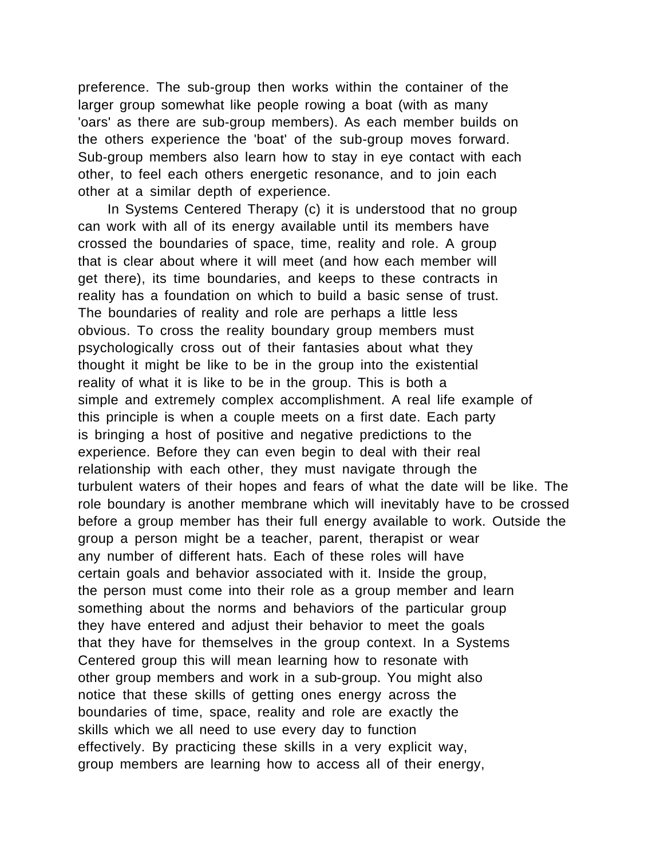preference. The sub-group then works within the container of the larger group somewhat like people rowing a boat (with as many 'oars' as there are sub-group members). As each member builds on the others experience the 'boat' of the sub-group moves forward. Sub-group members also learn how to stay in eye contact with each other, to feel each others energetic resonance, and to join each other at a similar depth of experience.

 In Systems Centered Therapy (c) it is understood that no group can work with all of its energy available until its members have crossed the boundaries of space, time, reality and role. A group that is clear about where it will meet (and how each member will get there), its time boundaries, and keeps to these contracts in reality has a foundation on which to build a basic sense of trust. The boundaries of reality and role are perhaps a little less obvious. To cross the reality boundary group members must psychologically cross out of their fantasies about what they thought it might be like to be in the group into the existential reality of what it is like to be in the group. This is both a simple and extremely complex accomplishment. A real life example of this principle is when a couple meets on a first date. Each party is bringing a host of positive and negative predictions to the experience. Before they can even begin to deal with their real relationship with each other, they must navigate through the turbulent waters of their hopes and fears of what the date will be like. The role boundary is another membrane which will inevitably have to be crossed before a group member has their full energy available to work. Outside the group a person might be a teacher, parent, therapist or wear any number of different hats. Each of these roles will have certain goals and behavior associated with it. Inside the group, the person must come into their role as a group member and learn something about the norms and behaviors of the particular group they have entered and adjust their behavior to meet the goals that they have for themselves in the group context. In a Systems Centered group this will mean learning how to resonate with other group members and work in a sub-group. You might also notice that these skills of getting ones energy across the boundaries of time, space, reality and role are exactly the skills which we all need to use every day to function effectively. By practicing these skills in a very explicit way, group members are learning how to access all of their energy,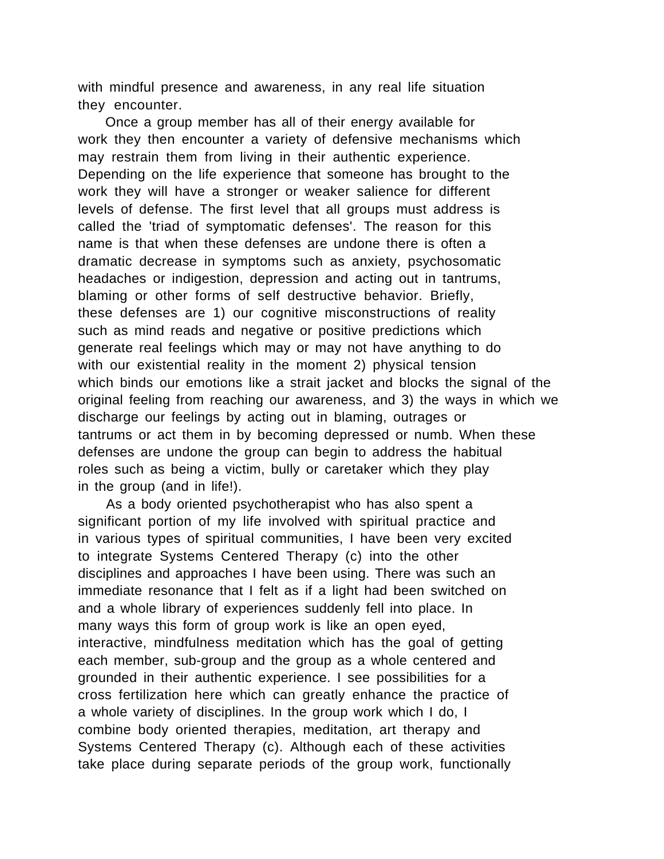with mindful presence and awareness, in any real life situation they encounter.

 Once a group member has all of their energy available for work they then encounter a variety of defensive mechanisms which may restrain them from living in their authentic experience. Depending on the life experience that someone has brought to the work they will have a stronger or weaker salience for different levels of defense. The first level that all groups must address is called the 'triad of symptomatic defenses'. The reason for this name is that when these defenses are undone there is often a dramatic decrease in symptoms such as anxiety, psychosomatic headaches or indigestion, depression and acting out in tantrums, blaming or other forms of self destructive behavior. Briefly, these defenses are 1) our cognitive misconstructions of reality such as mind reads and negative or positive predictions which generate real feelings which may or may not have anything to do with our existential reality in the moment 2) physical tension which binds our emotions like a strait jacket and blocks the signal of the original feeling from reaching our awareness, and 3) the ways in which we discharge our feelings by acting out in blaming, outrages or tantrums or act them in by becoming depressed or numb. When these defenses are undone the group can begin to address the habitual roles such as being a victim, bully or caretaker which they play in the group (and in life!).

 As a body oriented psychotherapist who has also spent a significant portion of my life involved with spiritual practice and in various types of spiritual communities, I have been very excited to integrate Systems Centered Therapy (c) into the other disciplines and approaches I have been using. There was such an immediate resonance that I felt as if a light had been switched on and a whole library of experiences suddenly fell into place. In many ways this form of group work is like an open eyed, interactive, mindfulness meditation which has the goal of getting each member, sub-group and the group as a whole centered and grounded in their authentic experience. I see possibilities for a cross fertilization here which can greatly enhance the practice of a whole variety of disciplines. In the group work which I do, I combine body oriented therapies, meditation, art therapy and Systems Centered Therapy (c). Although each of these activities take place during separate periods of the group work, functionally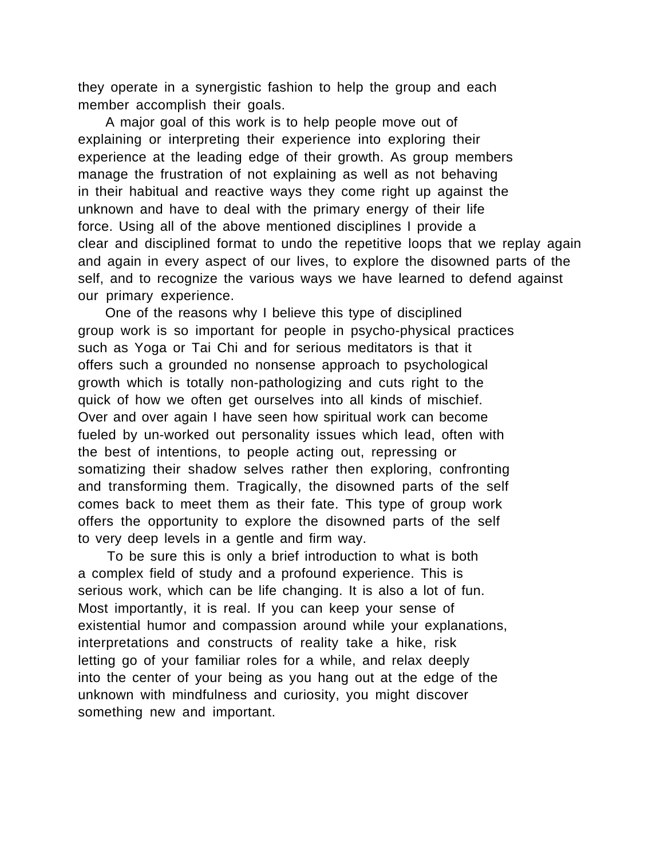they operate in a synergistic fashion to help the group and each member accomplish their goals.

 A major goal of this work is to help people move out of explaining or interpreting their experience into exploring their experience at the leading edge of their growth. As group members manage the frustration of not explaining as well as not behaving in their habitual and reactive ways they come right up against the unknown and have to deal with the primary energy of their life force. Using all of the above mentioned disciplines I provide a clear and disciplined format to undo the repetitive loops that we replay again and again in every aspect of our lives, to explore the disowned parts of the self, and to recognize the various ways we have learned to defend against our primary experience.

 One of the reasons why I believe this type of disciplined group work is so important for people in psycho-physical practices such as Yoga or Tai Chi and for serious meditators is that it offers such a grounded no nonsense approach to psychological growth which is totally non-pathologizing and cuts right to the quick of how we often get ourselves into all kinds of mischief. Over and over again I have seen how spiritual work can become fueled by un-worked out personality issues which lead, often with the best of intentions, to people acting out, repressing or somatizing their shadow selves rather then exploring, confronting and transforming them. Tragically, the disowned parts of the self comes back to meet them as their fate. This type of group work offers the opportunity to explore the disowned parts of the self to very deep levels in a gentle and firm way.

 To be sure this is only a brief introduction to what is both a complex field of study and a profound experience. This is serious work, which can be life changing. It is also a lot of fun. Most importantly, it is real. If you can keep your sense of existential humor and compassion around while your explanations, interpretations and constructs of reality take a hike, risk letting go of your familiar roles for a while, and relax deeply into the center of your being as you hang out at the edge of the unknown with mindfulness and curiosity, you might discover something new and important.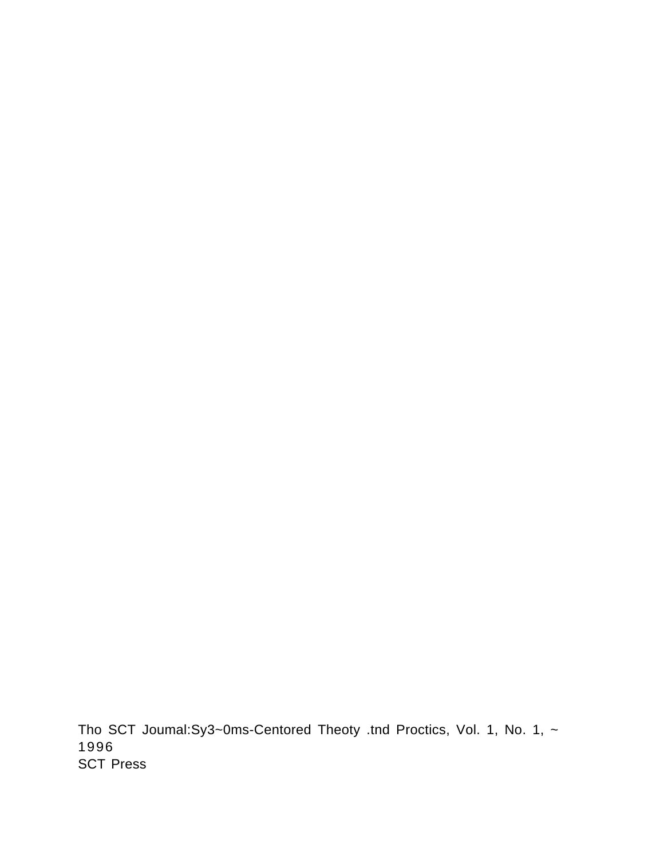Tho SCT Joumal:Sy3~0ms-Centored Theoty .tnd Proctics, Vol. 1, No. 1, ~ 1996 SCT Press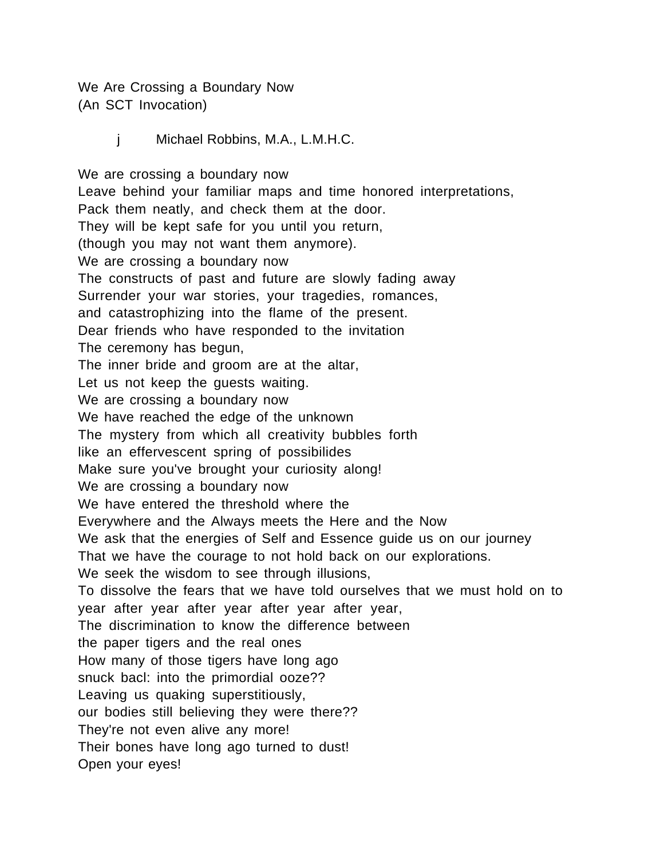We Are Crossing a Boundary Now (An SCT Invocation)

j Michael Robbins, M.A., L.M.H.C.

We are crossing a boundary now Leave behind your familiar maps and time honored interpretations, Pack them neatly, and check them at the door. They will be kept safe for you until you return, (though you may not want them anymore). We are crossing a boundary now The constructs of past and future are slowly fading away Surrender your war stories, your tragedies, romances, and catastrophizing into the flame of the present. Dear friends who have responded to the invitation The ceremony has begun, The inner bride and groom are at the altar, Let us not keep the guests waiting. We are crossing a boundary now We have reached the edge of the unknown The mystery from which all creativity bubbles forth like an effervescent spring of possibilides Make sure you've brought your curiosity along! We are crossing a boundary now We have entered the threshold where the Everywhere and the Always meets the Here and the Now We ask that the energies of Self and Essence guide us on our journey That we have the courage to not hold back on our explorations. We seek the wisdom to see through illusions, To dissolve the fears that we have told ourselves that we must hold on to year after year after year after year after year, The discrimination to know the difference between the paper tigers and the real ones How many of those tigers have long ago snuck bacl: into the primordial ooze?? Leaving us quaking superstitiously, our bodies still believing they were there?? They're not even alive any more! Their bones have long ago turned to dust! Open your eyes!